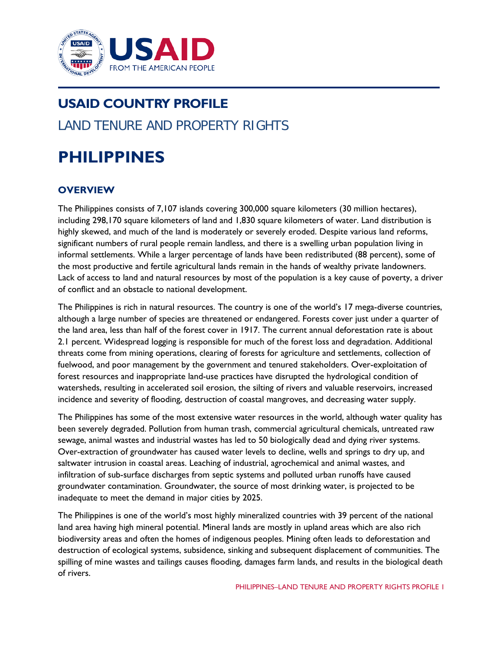

## **USAID COUNTRY PROFILE** LAND TENURE AND PROPERTY RIGHTS

# **PHILIPPINES**

## **OVERVIEW**

The Philippines consists of 7,107 islands covering 300,000 square kilometers (30 million hectares), including 298,170 square kilometers of land and 1,830 square kilometers of water. Land distribution is highly skewed, and much of the land is moderately or severely eroded. Despite various land reforms, significant numbers of rural people remain landless, and there is a swelling urban population living in informal settlements. While a larger percentage of lands have been redistributed (88 percent), some of the most productive and fertile agricultural lands remain in the hands of wealthy private landowners. Lack of access to land and natural resources by most of the population is a key cause of poverty, a driver of conflict and an obstacle to national development.

The Philippines is rich in natural resources. The country is one of the world's 17 mega-diverse countries, although a large number of species are threatened or endangered. Forests cover just under a quarter of the land area, less than half of the forest cover in 1917. The current annual deforestation rate is about 2.1 percent. Widespread logging is responsible for much of the forest loss and degradation. Additional threats come from mining operations, clearing of forests for agriculture and settlements, collection of fuelwood, and poor management by the government and tenured stakeholders. Over-exploitation of forest resources and inappropriate land-use practices have disrupted the hydrological condition of watersheds, resulting in accelerated soil erosion, the silting of rivers and valuable reservoirs, increased incidence and severity of flooding, destruction of coastal mangroves, and decreasing water supply.

The Philippines has some of the most extensive water resources in the world, although water quality has been severely degraded. Pollution from human trash, commercial agricultural chemicals, untreated raw sewage, animal wastes and industrial wastes has led to 50 biologically dead and dying river systems. Over-extraction of groundwater has caused water levels to decline, wells and springs to dry up, and saltwater intrusion in coastal areas. Leaching of industrial, agrochemical and animal wastes, and infiltration of sub-surface discharges from septic systems and polluted urban runoffs have caused groundwater contamination. Groundwater, the source of most drinking water, is projected to be inadequate to meet the demand in major cities by 2025.

The Philippines is one of the world's most highly mineralized countries with 39 percent of the national land area having high mineral potential. Mineral lands are mostly in upland areas which are also rich biodiversity areas and often the homes of indigenous peoples. Mining often leads to deforestation and destruction of ecological systems, subsidence, sinking and subsequent displacement of communities. The spilling of mine wastes and tailings causes flooding, damages farm lands, and results in the biological death of rivers.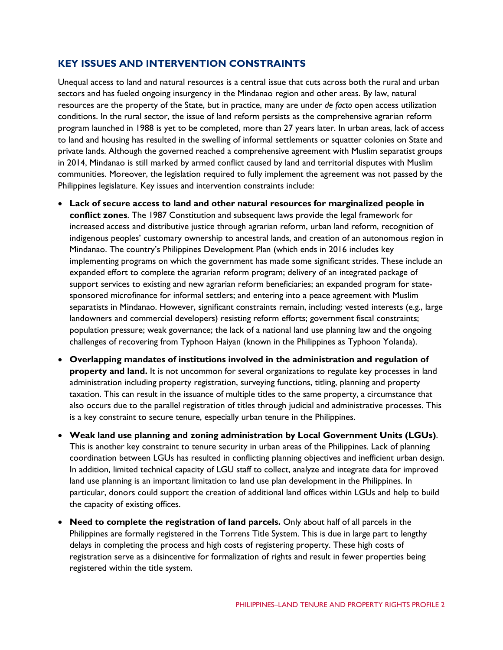### **KEY ISSUES AND INTERVENTION CONSTRAINTS**

Unequal access to land and natural resources is a central issue that cuts across both the rural and urban sectors and has fueled ongoing insurgency in the Mindanao region and other areas. By law, natural resources are the property of the State, but in practice, many are under *de facto* open access utilization conditions. In the rural sector, the issue of land reform persists as the comprehensive agrarian reform program launched in 1988 is yet to be completed, more than 27 years later. In urban areas, lack of access to land and housing has resulted in the swelling of informal settlements or squatter colonies on State and private lands. Although the governed reached a comprehensive agreement with Muslim separatist groups in 2014, Mindanao is still marked by armed conflict caused by land and territorial disputes with Muslim communities. Moreover, the legislation required to fully implement the agreement was not passed by the Philippines legislature. Key issues and intervention constraints include:

- **Lack of secure access to land and other natural resources for marginalized people in conflict zones**. The 1987 Constitution and subsequent laws provide the legal framework for increased access and distributive justice through agrarian reform, urban land reform, recognition of indigenous peoples' customary ownership to ancestral lands, and creation of an autonomous region in Mindanao. The country's Philippines Development Plan (which ends in 2016 includes key implementing programs on which the government has made some significant strides. These include an expanded effort to complete the agrarian reform program; delivery of an integrated package of support services to existing and new agrarian reform beneficiaries; an expanded program for statesponsored microfinance for informal settlers; and entering into a peace agreement with Muslim separatists in Mindanao. However, significant constraints remain, including: vested interests (e.g., large landowners and commercial developers) resisting reform efforts; government fiscal constraints; population pressure; weak governance; the lack of a national land use planning law and the ongoing challenges of recovering from Typhoon Haiyan (known in the Philippines as Typhoon Yolanda).
- **Overlapping mandates of institutions involved in the administration and regulation of property and land.** It is not uncommon for several organizations to regulate key processes in land administration including property registration, surveying functions, titling, planning and property taxation. This can result in the issuance of multiple titles to the same property, a circumstance that also occurs due to the parallel registration of titles through judicial and administrative processes. This is a key constraint to secure tenure, especially urban tenure in the Philippines.
- **Weak land use planning and zoning administration by Local Government Units (LGUs)**. This is another key constraint to tenure security in urban areas of the Philippines. Lack of planning coordination between LGUs has resulted in conflicting planning objectives and inefficient urban design. In addition, limited technical capacity of LGU staff to collect, analyze and integrate data for improved land use planning is an important limitation to land use plan development in the Philippines. In particular, donors could support the creation of additional land offices within LGUs and help to build the capacity of existing offices.
- **Need to complete the registration of land parcels.** Only about half of all parcels in the Philippines are formally registered in the Torrens Title System. This is due in large part to lengthy delays in completing the process and high costs of registering property. These high costs of registration serve as a disincentive for formalization of rights and result in fewer properties being registered within the title system.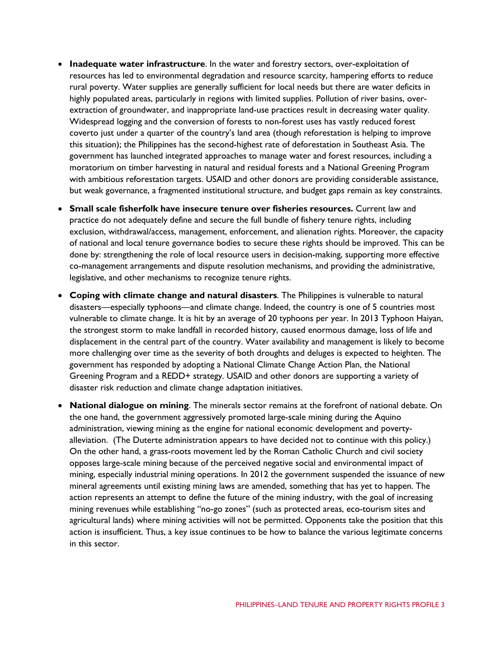- **Inadequate water infrastructure**. In the water and forestry sectors, over-exploitation of resources has led to environmental degradation and resource scarcity, hampering efforts to reduce rural poverty. Water supplies are generally sufficient for local needs but there are water deficits in highly populated areas, particularly in regions with limited supplies. Pollution of river basins, overextraction of groundwater, and inappropriate land-use practices result in decreasing water quality. Widespread logging and the conversion of forests to non-forest uses has vastly reduced forest coverto just under a quarter of the country's land area (though reforestation is helping to improve this situation); the Philippines has the second-highest rate of deforestation in Southeast Asia. The government has launched integrated approaches to manage water and forest resources, including a moratorium on timber harvesting in natural and residual forests and a National Greening Program with ambitious reforestation targets. USAID and other donors are providing considerable assistance, but weak governance, a fragmented institutional structure, and budget gaps remain as key constraints.
- **Small scale fisherfolk have insecure tenure over fisheries resources.** Current law and practice do not adequately define and secure the full bundle of fishery tenure rights, including exclusion, withdrawal/access, management, enforcement, and alienation rights. Moreover, the capacity of national and local tenure governance bodies to secure these rights should be improved. This can be done by: strengthening the role of local resource users in decision-making, supporting more effective co-management arrangements and dispute resolution mechanisms, and providing the administrative, legislative, and other mechanisms to recognize tenure rights.
- **Coping with climate change and natural disasters**. The Philippines is vulnerable to natural disasters—especially typhoons—and climate change. Indeed, the country is one of 5 countries most vulnerable to climate change. It is hit by an average of 20 typhoons per year. In 2013 Typhoon Haiyan, the strongest storm to make landfall in recorded history, caused enormous damage, loss of life and displacement in the central part of the country. Water availability and management is likely to become more challenging over time as the severity of both droughts and deluges is expected to heighten. The government has responded by adopting a National Climate Change Action Plan, the National Greening Program and a REDD+ strategy. USAID and other donors are supporting a variety of disaster risk reduction and climate change adaptation initiatives.
- **National dialogue on mining**. The minerals sector remains at the forefront of national debate. On the one hand, the government aggressively promoted large-scale mining during the Aquino administration, viewing mining as the engine for national economic development and povertyalleviation. (The Duterte administration appears to have decided not to continue with this policy.) On the other hand, a grass-roots movement led by the Roman Catholic Church and civil society opposes large-scale mining because of the perceived negative social and environmental impact of mining, especially industrial mining operations. In 2012 the government suspended the issuance of new mineral agreements until existing mining laws are amended, something that has yet to happen. The action represents an attempt to define the future of the mining industry, with the goal of increasing mining revenues while establishing "no-go zones" (such as protected areas, eco-tourism sites and agricultural lands) where mining activities will not be permitted. Opponents take the position that this action is insufficient. Thus, a key issue continues to be how to balance the various legitimate concerns in this sector.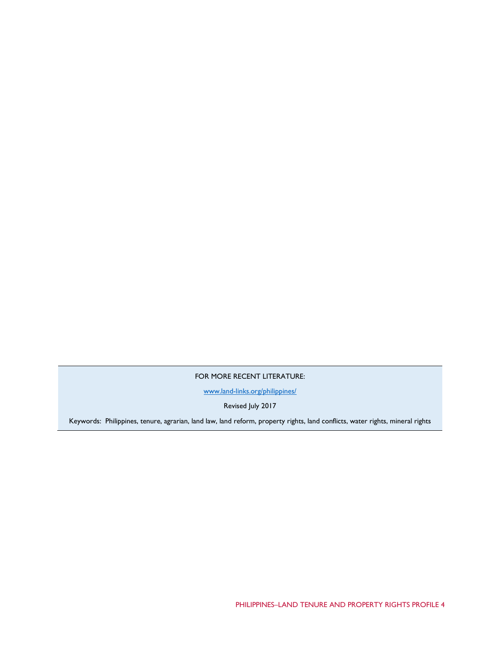FOR MORE RECENT LITERATURE:

[www.land-links.org/philippines/](http://www.land-links.org/philippines/)

Revised July 2017

Keywords: Philippines, tenure, agrarian, land law, land reform, property rights, land conflicts, water rights, mineral rights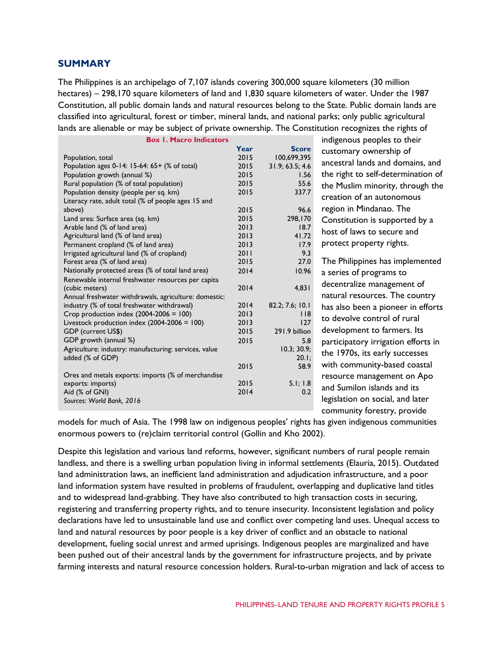#### **SUMMARY**

The Philippines is an archipelago of 7,107 islands covering 300,000 square kilometers (30 million hectares) – 298,170 square kilometers of land and 1,830 square kilometers of water. Under the 1987 Constitution, all public domain lands and natural resources belong to the State. Public domain lands are classified into agricultural, forest or timber, mineral lands, and national parks; only public agricultural lands are alienable or may be subject of private ownership. The Constitution recognizes the rights of

| <b>Box I. Macro Indicators</b>                        |      |                 |  |  |
|-------------------------------------------------------|------|-----------------|--|--|
|                                                       | Year | <b>Score</b>    |  |  |
| Population, total                                     | 2015 | 100,699,395     |  |  |
| Population ages $0-14$ : 15-64: 65+ (% of total)      | 2015 | 31.9; 63.5; 4.6 |  |  |
| Population growth (annual %)                          | 2015 | 1.56            |  |  |
| Rural population (% of total population)              | 2015 | 55.6            |  |  |
| Population density (people per sq. km)                | 2015 | 337.7           |  |  |
| Literacy rate, adult total (% of people ages 15 and   |      |                 |  |  |
| above)                                                | 2015 | 96.6            |  |  |
| Land area: Surface area (sq. km)                      | 2015 | 298,170         |  |  |
| Arable land (% of land area)                          | 2013 | 18.7            |  |  |
| Agricultural land (% of land area)                    | 2013 | 41.72           |  |  |
| Permanent cropland (% of land area)                   | 2013 | 17.9            |  |  |
| Irrigated agricultural land (% of cropland)           | 2011 | 9.3             |  |  |
| Forest area (% of land area)                          | 2015 | 27.0            |  |  |
| Nationally protected areas (% of total land area)     | 2014 | 10.96           |  |  |
| Renewable internal freshwater resources per capita    |      |                 |  |  |
| (cubic meters)                                        | 2014 | 4,831           |  |  |
| Annual freshwater withdrawals, agriculture: domestic: |      |                 |  |  |
| industry (% of total freshwater withdrawal)           | 2014 | 82.2; 7.6; 10.1 |  |  |
| Crop production index $(2004-2006 = 100)$             | 2013 | <b>118</b>      |  |  |
| Livestock production index $(2004-2006 = 100)$        | 2013 | 127             |  |  |
| GDP (current US\$)                                    | 2015 | 291.9 billion   |  |  |
| GDP growth (annual %)                                 | 2015 | 5.8             |  |  |
| Agriculture: industry: manufacturing: services, value |      | 10.3; 30.9;     |  |  |
| added (% of GDP)                                      |      | $20.1$ ;        |  |  |
|                                                       | 2015 | 58.9            |  |  |
| Ores and metals exports: imports (% of merchandise    |      |                 |  |  |
| exports: imports)                                     | 2015 | 5.1; 1.8        |  |  |
| Aid (% of GNI)                                        | 2014 | 0.2             |  |  |
| Sources: World Bank, 2016                             |      |                 |  |  |
|                                                       |      |                 |  |  |

indigenous peoples to their customary ownership of ancestral lands and domains, and the right to self-determination of the Muslim minority, through the creation of an autonomous region in Mindanao. The Constitution is supported by a host of laws to secure and protect property rights.

The Philippines has implemented a series of programs to decentralize management of natural resources. The country has also been a pioneer in efforts to devolve control of rural development to farmers. Its participatory irrigation efforts in the 1970s, its early successes with community-based coastal resource management on Apo and Sumilon islands and its legislation on social, and later community forestry, provide

models for much of Asia. The 1998 law on indigenous peoples' rights has given indigenous communities enormous powers to (re)claim territorial control (Gollin and Kho 2002).

Despite this legislation and various land reforms, however, significant numbers of rural people remain landless, and there is a swelling urban population living in informal settlements (Elauria, 2015). Outdated land administration laws, an inefficient land administration and adjudication infrastructure, and a poor land information system have resulted in problems of fraudulent, overlapping and duplicative land titles and to widespread land-grabbing. They have also contributed to high transaction costs in securing, registering and transferring property rights, and to tenure insecurity. Inconsistent legislation and policy declarations have led to unsustainable land use and conflict over competing land uses. Unequal access to land and natural resources by poor people is a key driver of conflict and an obstacle to national development, fueling social unrest and armed uprisings. Indigenous peoples are marginalized and have been pushed out of their ancestral lands by the government for infrastructure projects, and by private farming interests and natural resource concession holders. Rural-to-urban migration and lack of access to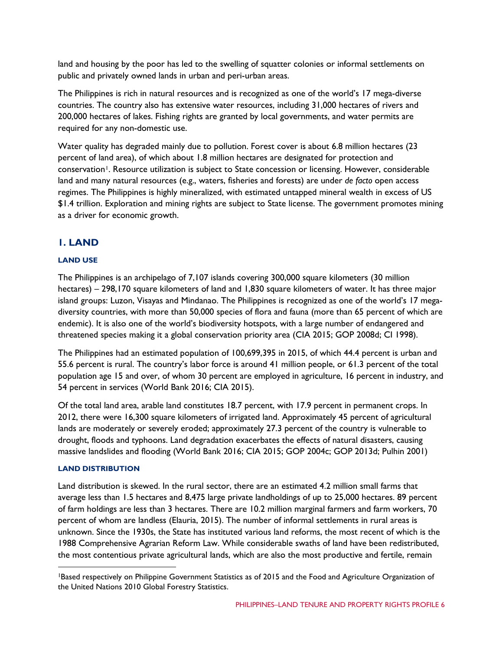land and housing by the poor has led to the swelling of squatter colonies or informal settlements on public and privately owned lands in urban and peri-urban areas.

The Philippines is rich in natural resources and is recognized as one of the world's 17 mega-diverse countries. The country also has extensive water resources, including 31,000 hectares of rivers and 200,000 hectares of lakes. Fishing rights are granted by local governments, and water permits are required for any non-domestic use.

Water quality has degraded mainly due to pollution. Forest cover is about 6.8 million hectares (23 percent of land area), of which about 1.8 million hectares are designated for protection and conservation<sup>[1](#page-5-0)</sup>. Resource utilization is subject to State concession or licensing. However, considerable land and many natural resources (e.g., waters, fisheries and forests) are under *de facto* open access regimes. The Philippines is highly mineralized, with estimated untapped mineral wealth in excess of US \$1.4 trillion. Exploration and mining rights are subject to State license. The government promotes mining as a driver for economic growth.

## **1. LAND**

#### **LAND USE**

The Philippines is an archipelago of 7,107 islands covering 300,000 square kilometers (30 million hectares) – 298,170 square kilometers of land and 1,830 square kilometers of water. It has three major island groups: Luzon, Visayas and Mindanao. The Philippines is recognized as one of the world's 17 megadiversity countries, with more than 50,000 species of flora and fauna (more than 65 percent of which are endemic). It is also one of the world's biodiversity hotspots, with a large number of endangered and threatened species making it a global conservation priority area (CIA 2015; GOP 2008d; CI 1998).

The Philippines had an estimated population of 100,699,395 in 2015, of which 44.4 percent is urban and 55.6 percent is rural. The country's labor force is around 41 million people, or 61.3 percent of the total population age 15 and over, of whom 30 percent are employed in agriculture, 16 percent in industry, and 54 percent in services (World Bank 2016; CIA 2015).

Of the total land area, arable land constitutes 18.7 percent, with 17.9 percent in permanent crops. In 2012, there were 16,300 square kilometers of irrigated land. Approximately 45 percent of agricultural lands are moderately or severely eroded; approximately 27.3 percent of the country is vulnerable to drought, floods and typhoons. Land degradation exacerbates the effects of natural disasters, causing massive landslides and flooding (World Bank 2016; CIA 2015; GOP 2004c; GOP 2013d; Pulhin 2001)

#### **LAND DISTRIBUTION**

Land distribution is skewed. In the rural sector, there are an estimated 4.2 million small farms that average less than 1.5 hectares and 8,475 large private landholdings of up to 25,000 hectares. 89 percent of farm holdings are less than 3 hectares. There are 10.2 million marginal farmers and farm workers, 70 percent of whom are landless (Elauria, 2015). The number of informal settlements in rural areas is unknown. Since the 1930s, the State has instituted various land reforms, the most recent of which is the 1988 Comprehensive Agrarian Reform Law. While considerable swaths of land have been redistributed, the most contentious private agricultural lands, which are also the most productive and fertile, remain

<span id="page-5-0"></span> <sup>1</sup>Based respectively on Philippine Government Statistics as of 2015 and the Food and Agriculture Organization of the United Nations 2010 Global Forestry Statistics.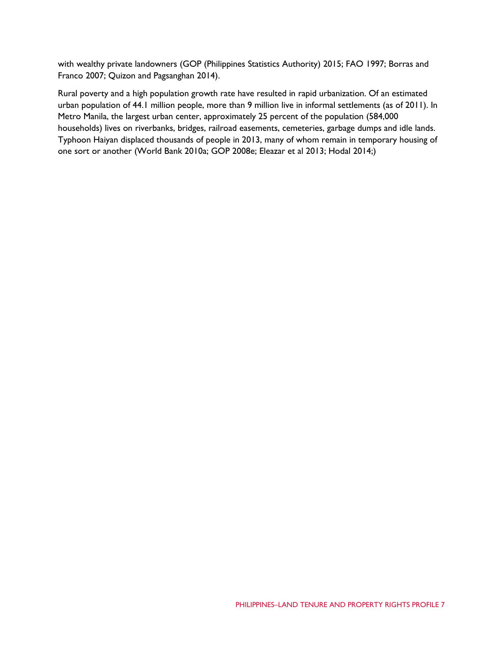with wealthy private landowners (GOP (Philippines Statistics Authority) 2015; FAO 1997; Borras and Franco 2007; Quizon and Pagsanghan 2014).

Rural poverty and a high population growth rate have resulted in rapid urbanization. Of an estimated urban population of 44.1 million people, more than 9 million live in informal settlements (as of 2011). In Metro Manila, the largest urban center, approximately 25 percent of the population (584,000 households) lives on riverbanks, bridges, railroad easements, cemeteries, garbage dumps and idle lands. Typhoon Haiyan displaced thousands of people in 2013, many of whom remain in temporary housing of one sort or another (World Bank 2010a; GOP 2008e; Eleazar et al 2013; Hodal 2014;)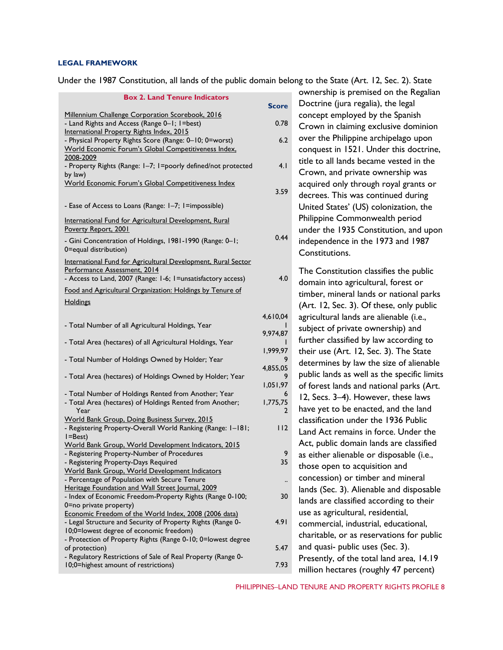#### **LEGAL FRAMEWORK**

Under the 1987 Constitution, all lands of the public domain belong to the State (Art. 12, Sec. 2). State

| ract and typy constitution, an iarias of the public domain before                                                    |              | $\alpha$ to the state $\beta$ int. $\alpha$ , see, $\alpha$ , state |
|----------------------------------------------------------------------------------------------------------------------|--------------|---------------------------------------------------------------------|
| <b>Box 2. Land Tenure Indicators</b>                                                                                 |              | ownership is premised on the Regalian                               |
|                                                                                                                      | <b>Score</b> | Doctrine (jura regalia), the legal                                  |
| Millennium Challenge Corporation Scorebook, 2016                                                                     |              | concept employed by the Spanish                                     |
| - Land Rights and Access (Range 0-1; 1=best)<br>International Property Rights Index, 2015                            | 0.78         | Crown in claiming exclusive dominion                                |
| - Physical Property Rights Score (Range: 0-10; 0=worst)                                                              | 6.2          | over the Philippine archipelago upon                                |
| World Economic Forum's Global Competitiveness Index.                                                                 |              | conquest in 1521. Under this doctrine,                              |
| 2008-2009                                                                                                            |              | title to all lands became vested in the                             |
| - Property Rights (Range: I-7; I=poorly defined/not protected                                                        | 4.1          |                                                                     |
| by law)                                                                                                              |              | Crown, and private ownership was                                    |
| World Economic Forum's Global Competitiveness Index                                                                  | 3.59         | acquired only through royal grants or                               |
|                                                                                                                      |              | decrees. This was continued during                                  |
| - Ease of Access to Loans (Range: 1-7; 1=impossible)                                                                 |              | United States' (US) colonization, the                               |
| International Fund for Agricultural Development, Rural                                                               |              | Philippine Commonwealth period                                      |
| Poverty Report, 2001                                                                                                 |              | under the 1935 Constitution, and upon                               |
| - Gini Concentration of Holdings, 1981-1990 (Range: 0-1;                                                             | 0.44         | independence in the 1973 and 1987                                   |
| 0=equal distribution)                                                                                                |              |                                                                     |
|                                                                                                                      |              | Constitutions.                                                      |
| International Fund for Agricultural Development, Rural Sector<br>Performance Assessment, 2014                        |              | The Constitution classifies the public                              |
| - Access to Land, 2007 (Range: 1-6; 1=unsatisfactory access)                                                         | 4.0          |                                                                     |
| Food and Agricultural Organization: Holdings by Tenure of                                                            |              | domain into agricultural, forest or                                 |
| <b>Holdings</b>                                                                                                      |              | timber, mineral lands or national parks                             |
|                                                                                                                      |              | (Art. 12, Sec. 3). Of these, only public                            |
|                                                                                                                      | 4,610,04     | agricultural lands are alienable (i.e.,                             |
| - Total Number of all Agricultural Holdings, Year                                                                    |              | subject of private ownership) and                                   |
| - Total Area (hectares) of all Agricultural Holdings, Year                                                           | 9,974,87     | further classified by law according to                              |
|                                                                                                                      | 1,999,97     | their use (Art. 12, Sec. 3). The State                              |
| - Total Number of Holdings Owned by Holder; Year                                                                     |              | determines by law the size of alienable                             |
|                                                                                                                      | 4,855,05     |                                                                     |
| - Total Area (hectares) of Holdings Owned by Holder; Year                                                            |              | public lands as well as the specific limits                         |
|                                                                                                                      | 1,051,97     | of forest lands and national parks (Art.                            |
| - Total Number of Holdings Rented from Another; Year<br>- Total Area (hectares) of Holdings Rented from Another;     | 1,775,75     | 12, Secs. 3-4). However, these laws                                 |
| Year                                                                                                                 |              | have yet to be enacted, and the land                                |
| World Bank Group, Doing Business Survey, 2015                                                                        |              | classification under the 1936 Public                                |
| - Registering Property-Overall World Ranking (Range: 1-181;                                                          | 112          | Land Act remains in force. Under the                                |
| $I = Best$ )                                                                                                         |              |                                                                     |
| World Bank Group, World Development Indicators, 2015                                                                 |              | Act, public domain lands are classified                             |
| - Registering Property-Number of Procedures<br>- Registering Property-Days Required                                  | 9<br>35      | as either alienable or disposable (i.e.,                            |
| World Bank Group, World Development Indicators                                                                       |              | those open to acquisition and                                       |
| - Percentage of Population with Secure Tenure                                                                        | $\ddotsc$    | concession) or timber and mineral                                   |
| Heritage Foundation and Wall Street Journal, 2009                                                                    |              | lands (Sec. 3). Alienable and disposable                            |
| - Index of Economic Freedom-Property Rights (Range 0-100;                                                            | 30           | lands are classified according to their                             |
| 0=no private property)                                                                                               |              | use as agricultural, residential,                                   |
| Economic Freedom of the World Index, 2008 (2006 data)<br>- Legal Structure and Security of Property Rights (Range 0- | 4.91         |                                                                     |
| 10;0=lowest degree of economic freedom)                                                                              |              | commercial, industrial, educational,                                |
| - Protection of Property Rights (Range 0-10; 0=lowest degree                                                         |              | charitable, or as reservations for public                           |
| of protection)                                                                                                       | 5.47         | and quasi- public uses (Sec. 3).                                    |
| - Regulatory Restrictions of Sale of Real Property (Range 0-                                                         |              | Presently, of the total land area, 14.19                            |
| 10;0=highest amount of restrictions)                                                                                 | 7.93         | million hectares (roughly 47 percent)                               |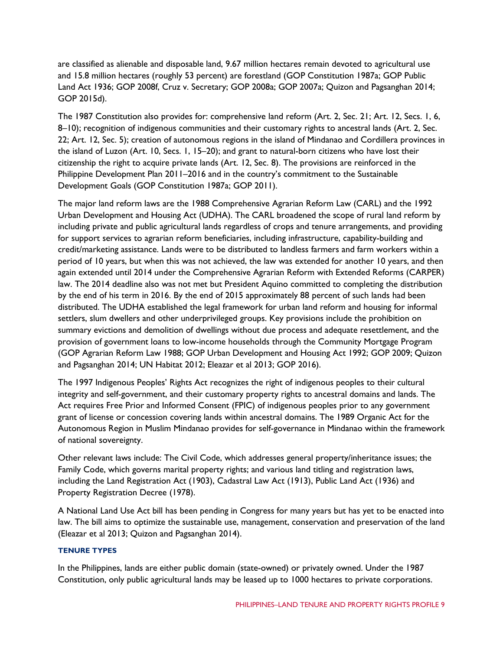are classified as alienable and disposable land, 9.67 million hectares remain devoted to agricultural use and 15.8 million hectares (roughly 53 percent) are forestland (GOP Constitution 1987a; GOP Public Land Act 1936; GOP 2008f, Cruz v. Secretary; GOP 2008a; GOP 2007a; Quizon and Pagsanghan 2014; GOP 2015d).

The 1987 Constitution also provides for: comprehensive land reform (Art. 2, Sec. 21; Art. 12, Secs. 1, 6, 8–10); recognition of indigenous communities and their customary rights to ancestral lands (Art. 2, Sec. 22; Art. 12, Sec. 5); creation of autonomous regions in the island of Mindanao and Cordillera provinces in the island of Luzon (Art. 10, Secs. 1, 15–20); and grant to natural-born citizens who have lost their citizenship the right to acquire private lands (Art. 12, Sec. 8). The provisions are reinforced in the Philippine Development Plan 2011–2016 and in the country's commitment to the Sustainable Development Goals (GOP Constitution 1987a; GOP 2011).

The major land reform laws are the 1988 Comprehensive Agrarian Reform Law (CARL) and the 1992 Urban Development and Housing Act (UDHA). The CARL broadened the scope of rural land reform by including private and public agricultural lands regardless of crops and tenure arrangements, and providing for support services to agrarian reform beneficiaries, including infrastructure, capability-building and credit/marketing assistance. Lands were to be distributed to landless farmers and farm workers within a period of 10 years, but when this was not achieved, the law was extended for another 10 years, and then again extended until 2014 under the Comprehensive Agrarian Reform with Extended Reforms (CARPER) law. The 2014 deadline also was not met but President Aquino committed to completing the distribution by the end of his term in 2016. By the end of 2015 approximately 88 percent of such lands had been distributed. The UDHA established the legal framework for urban land reform and housing for informal settlers, slum dwellers and other underprivileged groups. Key provisions include the prohibition on summary evictions and demolition of dwellings without due process and adequate resettlement, and the provision of government loans to low-income households through the Community Mortgage Program (GOP Agrarian Reform Law 1988; GOP Urban Development and Housing Act 1992; GOP 2009; Quizon and Pagsanghan 2014; UN Habitat 2012; Eleazar et al 2013; GOP 2016).

The 1997 Indigenous Peoples' Rights Act recognizes the right of indigenous peoples to their cultural integrity and self-government, and their customary property rights to ancestral domains and lands. The Act requires Free Prior and Informed Consent (FPIC) of indigenous peoples prior to any government grant of license or concession covering lands within ancestral domains. The 1989 Organic Act for the Autonomous Region in Muslim Mindanao provides for self-governance in Mindanao within the framework of national sovereignty.

Other relevant laws include: The Civil Code, which addresses general property/inheritance issues; the Family Code, which governs marital property rights; and various land titling and registration laws, including the Land Registration Act (1903), Cadastral Law Act (1913), Public Land Act (1936) and Property Registration Decree (1978).

A National Land Use Act bill has been pending in Congress for many years but has yet to be enacted into law. The bill aims to optimize the sustainable use, management, conservation and preservation of the land (Eleazar et al 2013; Quizon and Pagsanghan 2014).

#### **TENURE TYPES**

In the Philippines, lands are either public domain (state-owned) or privately owned. Under the 1987 Constitution, only public agricultural lands may be leased up to 1000 hectares to private corporations.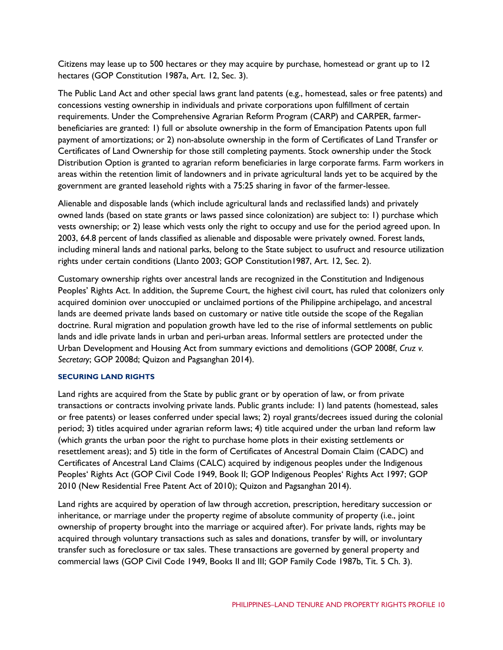Citizens may lease up to 500 hectares or they may acquire by purchase, homestead or grant up to 12 hectares (GOP Constitution 1987a, Art. 12, Sec. 3).

The Public Land Act and other special laws grant land patents (e.g., homestead, sales or free patents) and concessions vesting ownership in individuals and private corporations upon fulfillment of certain requirements. Under the Comprehensive Agrarian Reform Program (CARP) and CARPER, farmerbeneficiaries are granted: 1) full or absolute ownership in the form of Emancipation Patents upon full payment of amortizations; or 2) non-absolute ownership in the form of Certificates of Land Transfer or Certificates of Land Ownership for those still completing payments. Stock ownership under the Stock Distribution Option is granted to agrarian reform beneficiaries in large corporate farms. Farm workers in areas within the retention limit of landowners and in private agricultural lands yet to be acquired by the government are granted leasehold rights with a 75:25 sharing in favor of the farmer-lessee.

Alienable and disposable lands (which include agricultural lands and reclassified lands) and privately owned lands (based on state grants or laws passed since colonization) are subject to: 1) purchase which vests ownership; or 2) lease which vests only the right to occupy and use for the period agreed upon. In 2003, 64.8 percent of lands classified as alienable and disposable were privately owned. Forest lands, including mineral lands and national parks, belong to the State subject to usufruct and resource utilization rights under certain conditions (Llanto 2003; GOP Constitution1987, Art. 12, Sec. 2).

Customary ownership rights over ancestral lands are recognized in the Constitution and Indigenous Peoples' Rights Act. In addition, the Supreme Court, the highest civil court, has ruled that colonizers only acquired dominion over unoccupied or unclaimed portions of the Philippine archipelago, and ancestral lands are deemed private lands based on customary or native title outside the scope of the Regalian doctrine. Rural migration and population growth have led to the rise of informal settlements on public lands and idle private lands in urban and peri-urban areas. Informal settlers are protected under the Urban Development and Housing Act from summary evictions and demolitions (GOP 2008f, *Cruz v. Secretary*; GOP 2008d; Quizon and Pagsanghan 2014).

#### **SECURING LAND RIGHTS**

Land rights are acquired from the State by public grant or by operation of law, or from private transactions or contracts involving private lands. Public grants include: 1) land patents (homestead, sales or free patents) or leases conferred under special laws; 2) royal grants/decrees issued during the colonial period; 3) titles acquired under agrarian reform laws; 4) title acquired under the urban land reform law (which grants the urban poor the right to purchase home plots in their existing settlements or resettlement areas); and 5) title in the form of Certificates of Ancestral Domain Claim (CADC) and Certificates of Ancestral Land Claims (CALC) acquired by indigenous peoples under the Indigenous Peoples' Rights Act (GOP Civil Code 1949, Book II; GOP Indigenous Peoples' Rights Act 1997; GOP 2010 (New Residential Free Patent Act of 2010); Quizon and Pagsanghan 2014).

Land rights are acquired by operation of law through accretion, prescription, hereditary succession or inheritance, or marriage under the property regime of absolute community of property (i.e., joint ownership of property brought into the marriage or acquired after). For private lands, rights may be acquired through voluntary transactions such as sales and donations, transfer by will, or involuntary transfer such as foreclosure or tax sales. These transactions are governed by general property and commercial laws (GOP Civil Code 1949, Books II and III; GOP Family Code 1987b, Tit. 5 Ch. 3).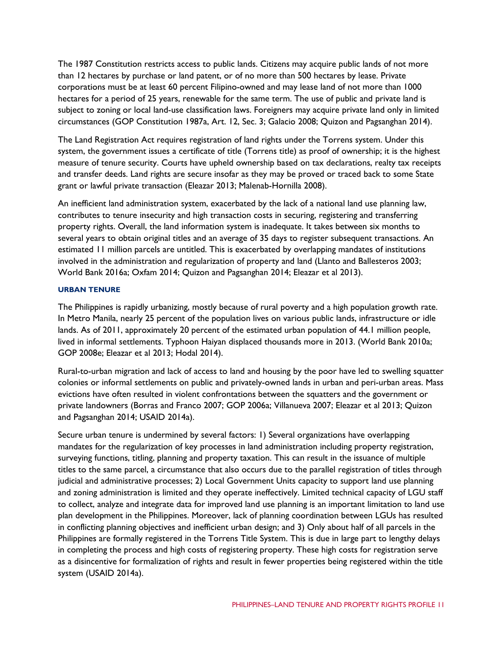The 1987 Constitution restricts access to public lands. Citizens may acquire public lands of not more than 12 hectares by purchase or land patent, or of no more than 500 hectares by lease. Private corporations must be at least 60 percent Filipino-owned and may lease land of not more than 1000 hectares for a period of 25 years, renewable for the same term. The use of public and private land is subject to zoning or local land-use classification laws. Foreigners may acquire private land only in limited circumstances (GOP Constitution 1987a, Art. 12, Sec. 3; Galacio 2008; Quizon and Pagsanghan 2014).

The Land Registration Act requires registration of land rights under the Torrens system. Under this system, the government issues a certificate of title (Torrens title) as proof of ownership; it is the highest measure of tenure security. Courts have upheld ownership based on tax declarations, realty tax receipts and transfer deeds. Land rights are secure insofar as they may be proved or traced back to some State grant or lawful private transaction (Eleazar 2013; Malenab-Hornilla 2008).

An inefficient land administration system, exacerbated by the lack of a national land use planning law, contributes to tenure insecurity and high transaction costs in securing, registering and transferring property rights. Overall, the land information system is inadequate. It takes between six months to several years to obtain original titles and an average of 35 days to register subsequent transactions. An estimated 11 million parcels are untitled. This is exacerbated by overlapping mandates of institutions involved in the administration and regularization of property and land (Llanto and Ballesteros 2003; World Bank 2016a; Oxfam 2014; Quizon and Pagsanghan 2014; Eleazar et al 2013).

#### **URBAN TENURE**

The Philippines is rapidly urbanizing, mostly because of rural poverty and a high population growth rate. In Metro Manila, nearly 25 percent of the population lives on various public lands, infrastructure or idle lands. As of 2011, approximately 20 percent of the estimated urban population of 44.1 million people, lived in informal settlements. Typhoon Haiyan displaced thousands more in 2013. (World Bank 2010a; GOP 2008e; Eleazar et al 2013; Hodal 2014).

Rural-to-urban migration and lack of access to land and housing by the poor have led to swelling squatter colonies or informal settlements on public and privately-owned lands in urban and peri-urban areas. Mass evictions have often resulted in violent confrontations between the squatters and the government or private landowners (Borras and Franco 2007; GOP 2006a; Villanueva 2007; Eleazar et al 2013; Quizon and Pagsanghan 2014; USAID 2014a).

Secure urban tenure is undermined by several factors: 1) Several organizations have overlapping mandates for the regularization of key processes in land administration including property registration, surveying functions, titling, planning and property taxation. This can result in the issuance of multiple titles to the same parcel, a circumstance that also occurs due to the parallel registration of titles through judicial and administrative processes; 2) Local Government Units capacity to support land use planning and zoning administration is limited and they operate ineffectively. Limited technical capacity of LGU staff to collect, analyze and integrate data for improved land use planning is an important limitation to land use plan development in the Philippines. Moreover, lack of planning coordination between LGUs has resulted in conflicting planning objectives and inefficient urban design; and 3) Only about half of all parcels in the Philippines are formally registered in the Torrens Title System. This is due in large part to lengthy delays in completing the process and high costs of registering property. These high costs for registration serve as a disincentive for formalization of rights and result in fewer properties being registered within the title system (USAID 2014a).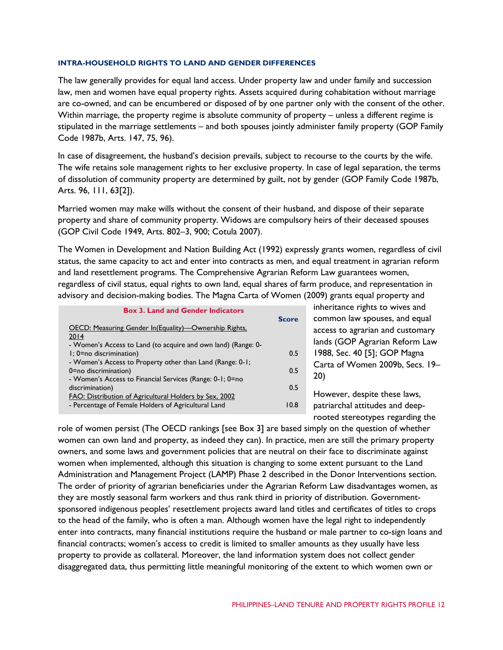#### **INTRA-HOUSEHOLD RIGHTS TO LAND AND GENDER DIFFERENCES**

The law generally provides for equal land access. Under property law and under family and succession law, men and women have equal property rights. Assets acquired during cohabitation without marriage are co-owned, and can be encumbered or disposed of by one partner only with the consent of the other. Within marriage, the property regime is absolute community of property – unless a different regime is stipulated in the marriage settlements – and both spouses jointly administer family property (GOP Family Code 1987b, Arts. 147, 75, 96).

In case of disagreement, the husband's decision prevails, subject to recourse to the courts by the wife. The wife retains sole management rights to her exclusive property. In case of legal separation, the terms of dissolution of community property are determined by guilt, not by gender (GOP Family Code 1987b, Arts. 96, 111, 63[2]).

Married women may make wills without the consent of their husband, and dispose of their separate property and share of community property. Widows are compulsory heirs of their deceased spouses (GOP Civil Code 1949, Arts. 802–3, 900; Cotula 2007).

The Women in Development and Nation Building Act (1992) expressly grants women, regardless of civil status, the same capacity to act and enter into contracts as men, and equal treatment in agrarian reform and land resettlement programs. The Comprehensive Agrarian Reform Law guarantees women, regardless of civil status, equal rights to own land, equal shares of farm produce, and representation in advisory and decision-making bodies. The Magna Carta of Women (2009) grants equal property and

|                                                               | <b>Box 3. Land and Gender Indicators</b> |              | inheritance   |
|---------------------------------------------------------------|------------------------------------------|--------------|---------------|
|                                                               |                                          | <b>Score</b> | common lay    |
| OECD: Measuring Gender In(Equality)-Ownership Rights,         |                                          |              | access to ag  |
| 2014                                                          |                                          |              | lands (GOP    |
| - Women's Access to Land (to acquire and own land) (Range: 0- |                                          |              |               |
| $\mathsf{l}$ ; 0=no discrimination)                           |                                          | 0.5          | 1988, Sec. 4  |
| - Women's Access to Property other than Land (Range: 0-1;     |                                          |              | Carta of W    |
| 0=no discrimination)                                          |                                          | 0.5          |               |
| - Women's Access to Financial Services (Range: 0-1; 0=no      |                                          |              | 20)           |
| discrimination)                                               |                                          | 0.5          |               |
| FAO: Distribution of Agricultural Holders by Sex, 2002        |                                          |              | However, d    |
| - Percentage of Female Holders of Agricultural Land           |                                          | 10.8         | patriarchal a |
|                                                               |                                          |              |               |
|                                                               |                                          |              |               |

rights to wives and w spouses, and equal rarian and customary Agrarian Reform Law 10 [5]; GOP Magna omen 2009b, Secs. 19–

espite these laws. ttitudes and deeprooted stereotypes regarding the

role of women persist (The OECD rankings [see Box 3] are based simply on the question of whether women can own land and property, as indeed they can). In practice, men are still the primary property owners, and some laws and government policies that are neutral on their face to discriminate against women when implemented, although this situation is changing to some extent pursuant to the Land Administration and Management Project (LAMP) Phase 2 described in the Donor Interventions section. The order of priority of agrarian beneficiaries under the Agrarian Reform Law disadvantages women, as they are mostly seasonal farm workers and thus rank third in priority of distribution. Governmentsponsored indigenous peoples' resettlement projects award land titles and certificates of titles to crops to the head of the family, who is often a man. Although women have the legal right to independently enter into contracts, many financial institutions require the husband or male partner to co-sign loans and financial contracts; women's access to credit is limited to smaller amounts as they usually have less property to provide as collateral. Moreover, the land information system does not collect gender disaggregated data, thus permitting little meaningful monitoring of the extent to which women own or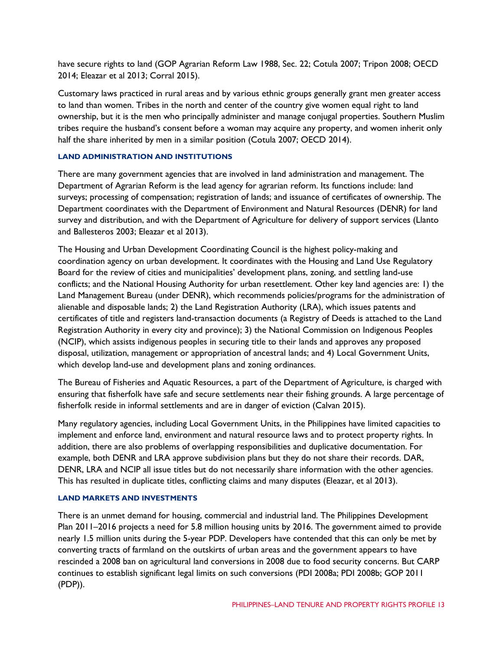have secure rights to land (GOP Agrarian Reform Law 1988, Sec. 22; Cotula 2007; Tripon 2008; OECD 2014; Eleazar et al 2013; Corral 2015).

Customary laws practiced in rural areas and by various ethnic groups generally grant men greater access to land than women. Tribes in the north and center of the country give women equal right to land ownership, but it is the men who principally administer and manage conjugal properties. Southern Muslim tribes require the husband's consent before a woman may acquire any property, and women inherit only half the share inherited by men in a similar position (Cotula 2007; OECD 2014).

#### **LAND ADMINISTRATION AND INSTITUTIONS**

There are many government agencies that are involved in land administration and management. The Department of Agrarian Reform is the lead agency for agrarian reform. Its functions include: land surveys; processing of compensation; registration of lands; and issuance of certificates of ownership. The Department coordinates with the Department of Environment and Natural Resources (DENR) for land survey and distribution, and with the Department of Agriculture for delivery of support services (Llanto and Ballesteros 2003; Eleazar et al 2013).

The Housing and Urban Development Coordinating Council is the highest policy-making and coordination agency on urban development. It coordinates with the Housing and Land Use Regulatory Board for the review of cities and municipalities' development plans, zoning, and settling land-use conflicts; and the National Housing Authority for urban resettlement. Other key land agencies are: 1) the Land Management Bureau (under DENR), which recommends policies/programs for the administration of alienable and disposable lands; 2) the Land Registration Authority (LRA), which issues patents and certificates of title and registers land-transaction documents (a Registry of Deeds is attached to the Land Registration Authority in every city and province); 3) the National Commission on Indigenous Peoples (NCIP), which assists indigenous peoples in securing title to their lands and approves any proposed disposal, utilization, management or appropriation of ancestral lands; and 4) Local Government Units, which develop land-use and development plans and zoning ordinances.

The Bureau of Fisheries and Aquatic Resources, a part of the Department of Agriculture, is charged with ensuring that fisherfolk have safe and secure settlements near their fishing grounds. A large percentage of fisherfolk reside in informal settlements and are in danger of eviction (Calvan 2015).

Many regulatory agencies, including Local Government Units, in the Philippines have limited capacities to implement and enforce land, environment and natural resource laws and to protect property rights. In addition, there are also problems of overlapping responsibilities and duplicative documentation. For example, both DENR and LRA approve subdivision plans but they do not share their records. DAR, DENR, LRA and NCIP all issue titles but do not necessarily share information with the other agencies. This has resulted in duplicate titles, conflicting claims and many disputes (Eleazar, et al 2013).

#### **LAND MARKETS AND INVESTMENTS**

There is an unmet demand for housing, commercial and industrial land. The Philippines Development Plan 2011–2016 projects a need for 5.8 million housing units by 2016. The government aimed to provide nearly 1.5 million units during the 5-year PDP. Developers have contended that this can only be met by converting tracts of farmland on the outskirts of urban areas and the government appears to have rescinded a 2008 ban on agricultural land conversions in 2008 due to food security concerns. But CARP continues to establish significant legal limits on such conversions (PDI 2008a; PDI 2008b; GOP 2011 (PDP)).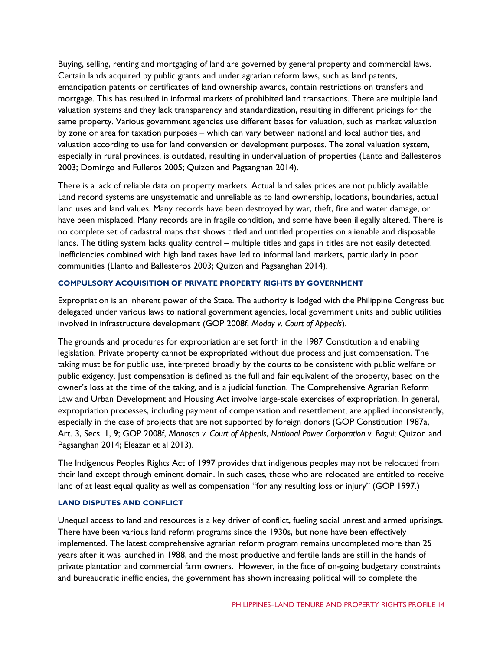Buying, selling, renting and mortgaging of land are governed by general property and commercial laws. Certain lands acquired by public grants and under agrarian reform laws, such as land patents, emancipation patents or certificates of land ownership awards, contain restrictions on transfers and mortgage. This has resulted in informal markets of prohibited land transactions. There are multiple land valuation systems and they lack transparency and standardization, resulting in different pricings for the same property. Various government agencies use different bases for valuation, such as market valuation by zone or area for taxation purposes – which can vary between national and local authorities, and valuation according to use for land conversion or development purposes. The zonal valuation system, especially in rural provinces, is outdated, resulting in undervaluation of properties (Lanto and Ballesteros 2003; Domingo and Fulleros 2005; Quizon and Pagsanghan 2014).

There is a lack of reliable data on property markets. Actual land sales prices are not publicly available. Land record systems are unsystematic and unreliable as to land ownership, locations, boundaries, actual land uses and land values. Many records have been destroyed by war, theft, fire and water damage, or have been misplaced. Many records are in fragile condition, and some have been illegally altered. There is no complete set of cadastral maps that shows titled and untitled properties on alienable and disposable lands. The titling system lacks quality control – multiple titles and gaps in titles are not easily detected. Inefficiencies combined with high land taxes have led to informal land markets, particularly in poor communities (Llanto and Ballesteros 2003; Quizon and Pagsanghan 2014).

#### **COMPULSORY ACQUISITION OF PRIVATE PROPERTY RIGHTS BY GOVERNMENT**

Expropriation is an inherent power of the State. The authority is lodged with the Philippine Congress but delegated under various laws to national government agencies, local government units and public utilities involved in infrastructure development (GOP 2008f, *Moday v. Court of Appeals*).

The grounds and procedures for expropriation are set forth in the 1987 Constitution and enabling legislation. Private property cannot be expropriated without due process and just compensation. The taking must be for public use, interpreted broadly by the courts to be consistent with public welfare or public exigency. Just compensation is defined as the full and fair equivalent of the property, based on the owner's loss at the time of the taking, and is a judicial function. The Comprehensive Agrarian Reform Law and Urban Development and Housing Act involve large-scale exercises of expropriation. In general, expropriation processes, including payment of compensation and resettlement, are applied inconsistently, especially in the case of projects that are not supported by foreign donors (GOP Constitution 1987a, Art. 3, Secs. 1, 9; GOP 2008f, *Manosca v. Court of Appeals*, *National Power Corporation v. Bagui*; Quizon and Pagsanghan 2014; Eleazar et al 2013).

The Indigenous Peoples Rights Act of 1997 provides that indigenous peoples may not be relocated from their land except through eminent domain. In such cases, those who are relocated are entitled to receive land of at least equal quality as well as compensation "for any resulting loss or injury" (GOP 1997.)

#### **LAND DISPUTES AND CONFLICT**

Unequal access to land and resources is a key driver of conflict, fueling social unrest and armed uprisings. There have been various land reform programs since the 1930s, but none have been effectively implemented. The latest comprehensive agrarian reform program remains uncompleted more than 25 years after it was launched in 1988, and the most productive and fertile lands are still in the hands of private plantation and commercial farm owners. However, in the face of on-going budgetary constraints and bureaucratic inefficiencies, the government has shown increasing political will to complete the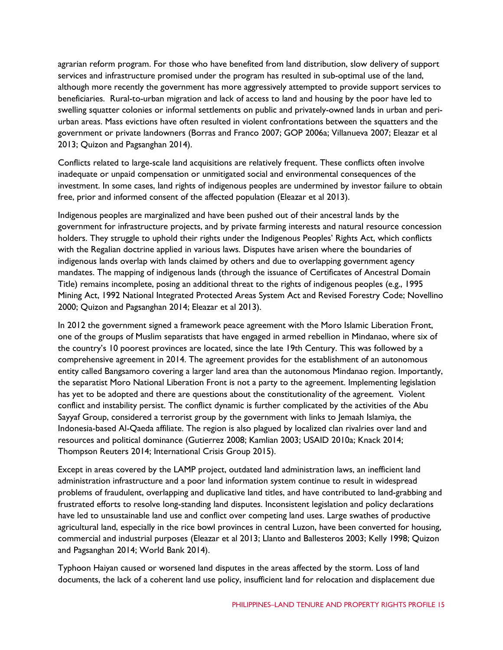agrarian reform program. For those who have benefited from land distribution, slow delivery of support services and infrastructure promised under the program has resulted in sub-optimal use of the land, although more recently the government has more aggressively attempted to provide support services to beneficiaries. Rural-to-urban migration and lack of access to land and housing by the poor have led to swelling squatter colonies or informal settlements on public and privately-owned lands in urban and periurban areas. Mass evictions have often resulted in violent confrontations between the squatters and the government or private landowners (Borras and Franco 2007; GOP 2006a; Villanueva 2007; Eleazar et al 2013; Quizon and Pagsanghan 2014).

Conflicts related to large-scale land acquisitions are relatively frequent. These conflicts often involve inadequate or unpaid compensation or unmitigated social and environmental consequences of the investment. In some cases, land rights of indigenous peoples are undermined by investor failure to obtain free, prior and informed consent of the affected population (Eleazar et al 2013).

Indigenous peoples are marginalized and have been pushed out of their ancestral lands by the government for infrastructure projects, and by private farming interests and natural resource concession holders. They struggle to uphold their rights under the Indigenous Peoples' Rights Act, which conflicts with the Regalian doctrine applied in various laws. Disputes have arisen where the boundaries of indigenous lands overlap with lands claimed by others and due to overlapping government agency mandates. The mapping of indigenous lands (through the issuance of Certificates of Ancestral Domain Title) remains incomplete, posing an additional threat to the rights of indigenous peoples (e.g., 1995 Mining Act, 1992 National Integrated Protected Areas System Act and Revised Forestry Code; Novellino 2000; Quizon and Pagsanghan 2014; Eleazar et al 2013).

In 2012 the government signed a framework peace agreement with the Moro Islamic Liberation Front, one of the groups of Muslim separatists that have engaged in armed rebellion in Mindanao, where six of the country's 10 poorest provinces are located, since the late 19th Century. This was followed by a comprehensive agreement in 2014. The agreement provides for the establishment of an autonomous entity called Bangsamoro covering a larger land area than the autonomous Mindanao region. Importantly, the separatist Moro National Liberation Front is not a party to the agreement. Implementing legislation has yet to be adopted and there are questions about the constitutionality of the agreement. Violent conflict and instability persist. The conflict dynamic is further complicated by the activities of the Abu Sayyaf Group, considered a terrorist group by the government with links to Jemaah Islamiya, the Indonesia-based Al-Qaeda affiliate. The region is also plagued by localized clan rivalries over land and resources and political dominance (Gutierrez 2008; Kamlian 2003; USAID 2010a; Knack 2014; Thompson Reuters 2014; International Crisis Group 2015).

Except in areas covered by the LAMP project, outdated land administration laws, an inefficient land administration infrastructure and a poor land information system continue to result in widespread problems of fraudulent, overlapping and duplicative land titles, and have contributed to land-grabbing and frustrated efforts to resolve long-standing land disputes. Inconsistent legislation and policy declarations have led to unsustainable land use and conflict over competing land uses. Large swathes of productive agricultural land, especially in the rice bowl provinces in central Luzon, have been converted for housing, commercial and industrial purposes (Eleazar et al 2013; Llanto and Ballesteros 2003; Kelly 1998; Quizon and Pagsanghan 2014; World Bank 2014).

Typhoon Haiyan caused or worsened land disputes in the areas affected by the storm. Loss of land documents, the lack of a coherent land use policy, insufficient land for relocation and displacement due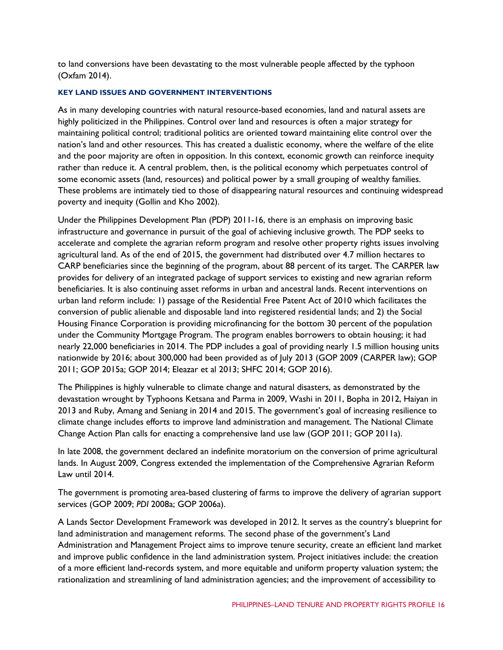to land conversions have been devastating to the most vulnerable people affected by the typhoon (Oxfam 2014).

#### **KEY LAND ISSUES AND GOVERNMENT INTERVENTIONS**

As in many developing countries with natural resource-based economies, land and natural assets are highly politicized in the Philippines. Control over land and resources is often a major strategy for maintaining political control; traditional politics are oriented toward maintaining elite control over the nation's land and other resources. This has created a dualistic economy, where the welfare of the elite and the poor majority are often in opposition. In this context, economic growth can reinforce inequity rather than reduce it. A central problem, then, is the political economy which perpetuates control of some economic assets (land, resources) and political power by a small grouping of wealthy families. These problems are intimately tied to those of disappearing natural resources and continuing widespread poverty and inequity (Gollin and Kho 2002).

Under the Philippines Development Plan (PDP) 2011-16, there is an emphasis on improving basic infrastructure and governance in pursuit of the goal of achieving inclusive growth. The PDP seeks to accelerate and complete the agrarian reform program and resolve other property rights issues involving agricultural land. As of the end of 2015, the government had distributed over 4.7 million hectares to CARP beneficiaries since the beginning of the program, about 88 percent of its target. The CARPER law provides for delivery of an integrated package of support services to existing and new agrarian reform beneficiaries. It is also continuing asset reforms in urban and ancestral lands. Recent interventions on urban land reform include: 1) passage of the Residential Free Patent Act of 2010 which facilitates the conversion of public alienable and disposable land into registered residential lands; and 2) the Social Housing Finance Corporation is providing microfinancing for the bottom 30 percent of the population under the Community Mortgage Program. The program enables borrowers to obtain housing; it had nearly 22,000 beneficiaries in 2014. The PDP includes a goal of providing nearly 1.5 million housing units nationwide by 2016; about 300,000 had been provided as of July 2013 (GOP 2009 (CARPER law); GOP 2011; GOP 2015a; GOP 2014; Eleazar et al 2013; SHFC 2014; GOP 2016).

The Philippines is highly vulnerable to climate change and natural disasters, as demonstrated by the devastation wrought by Typhoons Ketsana and Parma in 2009, Washi in 2011, Bopha in 2012, Haiyan in 2013 and Ruby, Amang and Seniang in 2014 and 2015. The government's goal of increasing resilience to climate change includes efforts to improve land administration and management. The National Climate Change Action Plan calls for enacting a comprehensive land use law (GOP 2011; GOP 2011a).

In late 2008, the government declared an indefinite moratorium on the conversion of prime agricultural lands. In August 2009, Congress extended the implementation of the Comprehensive Agrarian Reform Law until 2014.

The government is promoting area-based clustering of farms to improve the delivery of agrarian support services (GOP 2009; *PDI* 2008a; GOP 2006a).

A Lands Sector Development Framework was developed in 2012. It serves as the country's blueprint for land administration and management reforms. The second phase of the government's Land Administration and Management Project aims to improve tenure security, create an efficient land market and improve public confidence in the land administration system. Project initiatives include: the creation of a more efficient land-records system, and more equitable and uniform property valuation system; the rationalization and streamlining of land administration agencies; and the improvement of accessibility to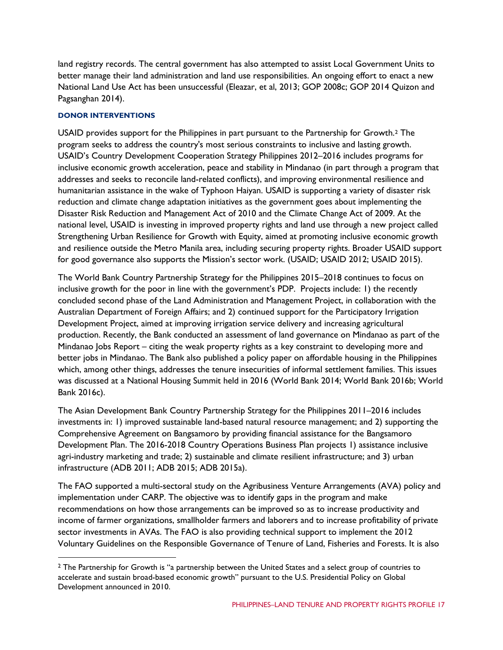land registry records. The central government has also attempted to assist Local Government Units to better manage their land administration and land use responsibilities. An ongoing effort to enact a new National Land Use Act has been unsuccessful (Eleazar, et al, 2013; GOP 2008c; GOP 2014 Quizon and Pagsanghan 2014).

#### **DONOR INTERVENTIONS**

USAID provides support for the Philippines in part pursuant to the Partnership for Growth.[2](#page-16-0) The program seeks to address the country's most serious constraints to inclusive and lasting growth. USAID's Country Development Cooperation Strategy Philippines 2012–2016 includes programs for inclusive economic growth acceleration, peace and stability in Mindanao (in part through a program that addresses and seeks to reconcile land-related conflicts), and improving environmental resilience and humanitarian assistance in the wake of Typhoon Haiyan. USAID is supporting a variety of disaster risk reduction and climate change adaptation initiatives as the government goes about implementing the Disaster Risk Reduction and Management Act of 2010 and the Climate Change Act of 2009. At the national level, USAID is investing in improved property rights and land use through a new project called Strengthening Urban Resilience for Growth with Equity, aimed at promoting inclusive economic growth and resilience outside the Metro Manila area, including securing property rights. Broader USAID support for good governance also supports the Mission's sector work. (USAID; USAID 2012; USAID 2015).

The World Bank Country Partnership Strategy for the Philippines 2015–2018 continues to focus on inclusive growth for the poor in line with the government's PDP. Projects include: 1) the recently concluded second phase of the Land Administration and Management Project, in collaboration with the Australian Department of Foreign Affairs; and 2) continued support for the Participatory Irrigation Development Project, aimed at improving irrigation service delivery and increasing agricultural production. Recently, the Bank conducted an assessment of land governance on Mindanao as part of the Mindanao Jobs Report – citing the weak property rights as a key constraint to developing more and better jobs in Mindanao. The Bank also published a policy paper on affordable housing in the Philippines which, among other things, addresses the tenure insecurities of informal settlement families. This issues was discussed at a National Housing Summit held in 2016 (World Bank 2014; World Bank 2016b; World Bank 2016c).

The Asian Development Bank Country Partnership Strategy for the Philippines 2011–2016 includes investments in: 1) improved sustainable land-based natural resource management; and 2) supporting the Comprehensive Agreement on Bangsamoro by providing financial assistance for the Bangsamoro Development Plan. The 2016-2018 Country Operations Business Plan projects 1) assistance inclusive agri-industry marketing and trade; 2) sustainable and climate resilient infrastructure; and 3) urban infrastructure (ADB 2011; ADB 2015; ADB 2015a).

The FAO supported a multi-sectoral study on the Agribusiness Venture Arrangements (AVA) policy and implementation under CARP. The objective was to identify gaps in the program and make recommendations on how those arrangements can be improved so as to increase productivity and income of farmer organizations, smallholder farmers and laborers and to increase profitability of private sector investments in AVAs. The FAO is also providing technical support to implement the 2012 Voluntary Guidelines on the Responsible Governance of Tenure of Land, Fisheries and Forests. It is also

<span id="page-16-0"></span><sup>&</sup>lt;sup>2</sup> The Partnership for Growth is "a partnership between the United States and a select group of countries to accelerate and sustain broad-based economic growth" pursuant to the U.S. Presidential Policy on Global Development announced in 2010.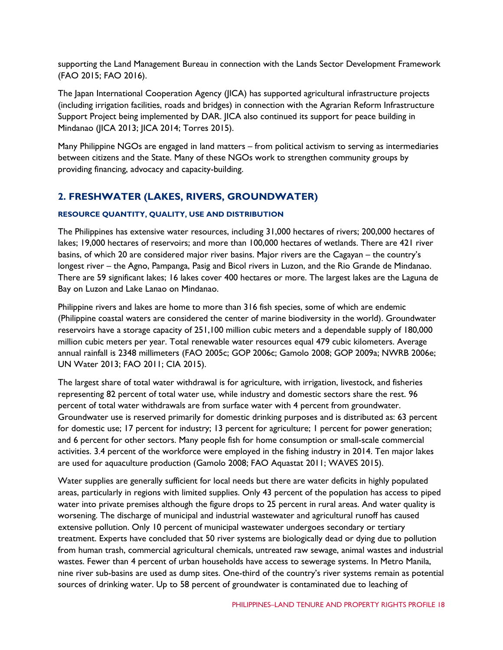supporting the Land Management Bureau in connection with the Lands Sector Development Framework (FAO 2015; FAO 2016).

The Japan International Cooperation Agency (JICA) has supported agricultural infrastructure projects (including irrigation facilities, roads and bridges) in connection with the Agrarian Reform Infrastructure Support Project being implemented by DAR. JICA also continued its support for peace building in Mindanao (JICA 2013; JICA 2014; Torres 2015).

Many Philippine NGOs are engaged in land matters – from political activism to serving as intermediaries between citizens and the State. Many of these NGOs work to strengthen community groups by providing financing, advocacy and capacity-building.

## **2. FRESHWATER (LAKES, RIVERS, GROUNDWATER)**

#### **RESOURCE QUANTITY, QUALITY, USE AND DISTRIBUTION**

The Philippines has extensive water resources, including 31,000 hectares of rivers; 200,000 hectares of lakes; 19,000 hectares of reservoirs; and more than 100,000 hectares of wetlands. There are 421 river basins, of which 20 are considered major river basins. Major rivers are the Cagayan – the country's longest river – the Agno, Pampanga, Pasig and Bicol rivers in Luzon, and the Rio Grande de Mindanao. There are 59 significant lakes; 16 lakes cover 400 hectares or more. The largest lakes are the Laguna de Bay on Luzon and Lake Lanao on Mindanao.

Philippine rivers and lakes are home to more than 316 fish species, some of which are endemic (Philippine coastal waters are considered the center of marine biodiversity in the world). Groundwater reservoirs have a storage capacity of 251,100 million cubic meters and a dependable supply of 180,000 million cubic meters per year. Total renewable water resources equal 479 cubic kilometers. Average annual rainfall is 2348 millimeters (FAO 2005c; GOP 2006c; Gamolo 2008; GOP 2009a; NWRB 2006e; UN Water 2013; FAO 2011; CIA 2015).

The largest share of total water withdrawal is for agriculture, with irrigation, livestock, and fisheries representing 82 percent of total water use, while industry and domestic sectors share the rest. 96 percent of total water withdrawals are from surface water with 4 percent from groundwater. Groundwater use is reserved primarily for domestic drinking purposes and is distributed as: 63 percent for domestic use; 17 percent for industry; 13 percent for agriculture; 1 percent for power generation; and 6 percent for other sectors. Many people fish for home consumption or small-scale commercial activities. 3.4 percent of the workforce were employed in the fishing industry in 2014. Ten major lakes are used for aquaculture production (Gamolo 2008; FAO Aquastat 2011; WAVES 2015).

Water supplies are generally sufficient for local needs but there are water deficits in highly populated areas, particularly in regions with limited supplies. Only 43 percent of the population has access to piped water into private premises although the figure drops to 25 percent in rural areas. And water quality is worsening. The discharge of municipal and industrial wastewater and agricultural runoff has caused extensive pollution. Only 10 percent of municipal wastewater undergoes secondary or tertiary treatment. Experts have concluded that 50 river systems are biologically dead or dying due to pollution from human trash, commercial agricultural chemicals, untreated raw sewage, animal wastes and industrial wastes. Fewer than 4 percent of urban households have access to sewerage systems. In Metro Manila, nine river sub-basins are used as dump sites. One-third of the country's river systems remain as potential sources of drinking water. Up to 58 percent of groundwater is contaminated due to leaching of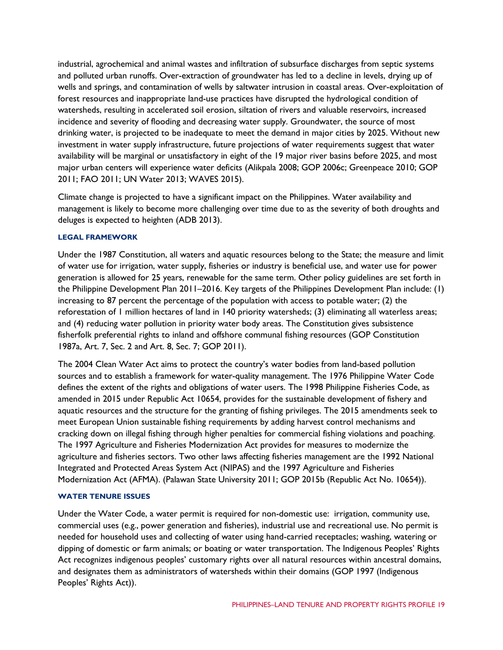industrial, agrochemical and animal wastes and infiltration of subsurface discharges from septic systems and polluted urban runoffs. Over-extraction of groundwater has led to a decline in levels, drying up of wells and springs, and contamination of wells by saltwater intrusion in coastal areas. Over-exploitation of forest resources and inappropriate land-use practices have disrupted the hydrological condition of watersheds, resulting in accelerated soil erosion, siltation of rivers and valuable reservoirs, increased incidence and severity of flooding and decreasing water supply. Groundwater, the source of most drinking water, is projected to be inadequate to meet the demand in major cities by 2025. Without new investment in water supply infrastructure, future projections of water requirements suggest that water availability will be marginal or unsatisfactory in eight of the 19 major river basins before 2025, and most major urban centers will experience water deficits (Alikpala 2008; GOP 2006c; Greenpeace 2010; GOP 2011; FAO 2011; UN Water 2013; WAVES 2015).

Climate change is projected to have a significant impact on the Philippines. Water availability and management is likely to become more challenging over time due to as the severity of both droughts and deluges is expected to heighten (ADB 2013).

#### **LEGAL FRAMEWORK**

Under the 1987 Constitution, all waters and aquatic resources belong to the State; the measure and limit of water use for irrigation, water supply, fisheries or industry is beneficial use, and water use for power generation is allowed for 25 years, renewable for the same term. Other policy guidelines are set forth in the Philippine Development Plan 2011–2016. Key targets of the Philippines Development Plan include: (1) increasing to 87 percent the percentage of the population with access to potable water; (2) the reforestation of 1 million hectares of land in 140 priority watersheds; (3) eliminating all waterless areas; and (4) reducing water pollution in priority water body areas. The Constitution gives subsistence fisherfolk preferential rights to inland and offshore communal fishing resources (GOP Constitution 1987a, Art. 7, Sec. 2 and Art. 8, Sec. 7; GOP 2011).

The 2004 Clean Water Act aims to protect the country's water bodies from land-based pollution sources and to establish a framework for water-quality management. The 1976 Philippine Water Code defines the extent of the rights and obligations of water users. The 1998 Philippine Fisheries Code, as amended in 2015 under Republic Act 10654, provides for the sustainable development of fishery and aquatic resources and the structure for the granting of fishing privileges. The 2015 amendments seek to meet European Union sustainable fishing requirements by adding harvest control mechanisms and cracking down on illegal fishing through higher penalties for commercial fishing violations and poaching. The 1997 Agriculture and Fisheries Modernization Act provides for measures to modernize the agriculture and fisheries sectors. Two other laws affecting fisheries management are the 1992 National Integrated and Protected Areas System Act (NIPAS) and the 1997 Agriculture and Fisheries Modernization Act (AFMA). (Palawan State University 2011; GOP 2015b (Republic Act No. 10654)).

#### **WATER TENURE ISSUES**

Under the Water Code, a water permit is required for non-domestic use: irrigation, community use, commercial uses (e.g., power generation and fisheries), industrial use and recreational use. No permit is needed for household uses and collecting of water using hand-carried receptacles; washing, watering or dipping of domestic or farm animals; or boating or water transportation. The Indigenous Peoples' Rights Act recognizes indigenous peoples' customary rights over all natural resources within ancestral domains, and designates them as administrators of watersheds within their domains (GOP 1997 (Indigenous Peoples' Rights Act)).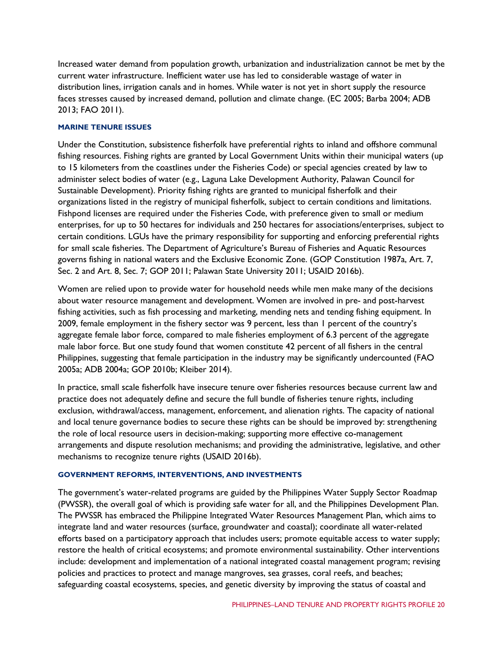Increased water demand from population growth, urbanization and industrialization cannot be met by the current water infrastructure. Inefficient water use has led to considerable wastage of water in distribution lines, irrigation canals and in homes. While water is not yet in short supply the resource faces stresses caused by increased demand, pollution and climate change. (EC 2005; Barba 2004; ADB 2013; FAO 2011).

#### **MARINE TENURE ISSUES**

Under the Constitution, subsistence fisherfolk have preferential rights to inland and offshore communal fishing resources. Fishing rights are granted by Local Government Units within their municipal waters (up to 15 kilometers from the coastlines under the Fisheries Code) or special agencies created by law to administer select bodies of water (e.g., Laguna Lake Development Authority, Palawan Council for Sustainable Development). Priority fishing rights are granted to municipal fisherfolk and their organizations listed in the registry of municipal fisherfolk, subject to certain conditions and limitations. Fishpond licenses are required under the Fisheries Code, with preference given to small or medium enterprises, for up to 50 hectares for individuals and 250 hectares for associations/enterprises, subject to certain conditions. LGUs have the primary responsibility for supporting and enforcing preferential rights for small scale fisheries. The Department of Agriculture's Bureau of Fisheries and Aquatic Resources governs fishing in national waters and the Exclusive Economic Zone. (GOP Constitution 1987a, Art. 7, Sec. 2 and Art. 8, Sec. 7; GOP 2011; Palawan State University 2011; USAID 2016b).

Women are relied upon to provide water for household needs while men make many of the decisions about water resource management and development. Women are involved in pre- and post-harvest fishing activities, such as fish processing and marketing, mending nets and tending fishing equipment. In 2009, female employment in the fishery sector was 9 percent, less than 1 percent of the country's aggregate female labor force, compared to male fisheries employment of 6.3 percent of the aggregate male labor force. But one study found that women constitute 42 percent of all fishers in the central Philippines, suggesting that female participation in the industry may be significantly undercounted (FAO 2005a; ADB 2004a; GOP 2010b; Kleiber 2014).

In practice, small scale fisherfolk have insecure tenure over fisheries resources because current law and practice does not adequately define and secure the full bundle of fisheries tenure rights, including exclusion, withdrawal/access, management, enforcement, and alienation rights. The capacity of national and local tenure governance bodies to secure these rights can be should be improved by: strengthening the role of local resource users in decision-making; supporting more effective co-management arrangements and dispute resolution mechanisms; and providing the administrative, legislative, and other mechanisms to recognize tenure rights (USAID 2016b).

#### **GOVERNMENT REFORMS, INTERVENTIONS, AND INVESTMENTS**

The government's water-related programs are guided by the Philippines Water Supply Sector Roadmap (PWSSR), the overall goal of which is providing safe water for all, and the Philippines Development Plan. The PWSSR has embraced the Philippine Integrated Water Resources Management Plan, which aims to integrate land and water resources (surface, groundwater and coastal); coordinate all water-related efforts based on a participatory approach that includes users; promote equitable access to water supply; restore the health of critical ecosystems; and promote environmental sustainability. Other interventions include: development and implementation of a national integrated coastal management program; revising policies and practices to protect and manage mangroves, sea grasses, coral reefs, and beaches; safeguarding coastal ecosystems, species, and genetic diversity by improving the status of coastal and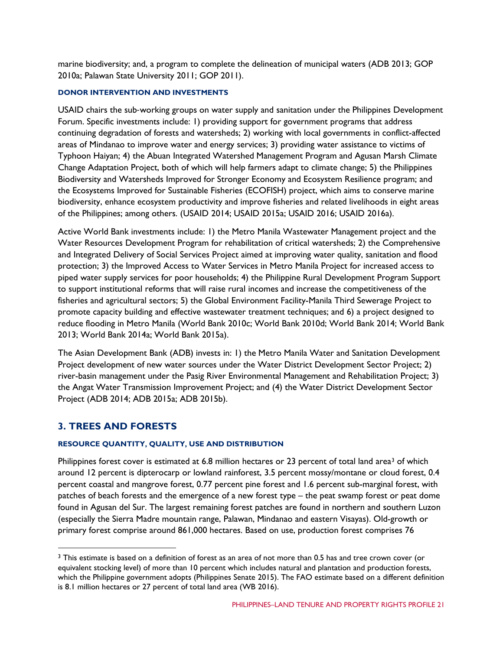marine biodiversity; and, a program to complete the delineation of municipal waters (ADB 2013; GOP 2010a; Palawan State University 2011; GOP 2011).

#### **DONOR INTERVENTION AND INVESTMENTS**

USAID chairs the sub‐working groups on water supply and sanitation under the Philippines Development Forum. Specific investments include: 1) providing support for government programs that address continuing degradation of forests and watersheds; 2) working with local governments in conflict-affected areas of Mindanao to improve water and energy services; 3) providing water assistance to victims of Typhoon Haiyan; 4) the Abuan Integrated Watershed Management Program and Agusan Marsh Climate Change Adaptation Project, both of which will help farmers adapt to climate change; 5) the Philippines Biodiversity and Watersheds Improved for Stronger Economy and Ecosystem Resilience program; and the Ecosystems Improved for Sustainable Fisheries (ECOFISH) project, which aims to conserve marine biodiversity, enhance ecosystem productivity and improve fisheries and related livelihoods in eight areas of the Philippines; among others. (USAID 2014; USAID 2015a; USAID 2016; USAID 2016a).

Active World Bank investments include: 1) the Metro Manila Wastewater Management project and the Water Resources Development Program for rehabilitation of critical watersheds; 2) the Comprehensive and Integrated Delivery of Social Services Project aimed at improving water quality, sanitation and flood protection; 3) the Improved Access to Water Services in Metro Manila Project for increased access to piped water supply services for poor households; 4) the Philippine Rural Development Program Support to support institutional reforms that will raise rural incomes and increase the competitiveness of the fisheries and agricultural sectors; 5) the Global Environment Facility-Manila Third Sewerage Project to promote capacity building and effective wastewater treatment techniques; and 6) a project designed to reduce flooding in Metro Manila (World Bank 2010c; World Bank 2010d; World Bank 2014; World Bank 2013; World Bank 2014a; World Bank 2015a).

The Asian Development Bank (ADB) invests in: 1) the Metro Manila Water and Sanitation Development Project development of new water sources under the Water District Development Sector Project; 2) river-basin management under the Pasig River Environmental Management and Rehabilitation Project; 3) the Angat Water Transmission Improvement Project; and (4) the Water District Development Sector Project (ADB 2014; ADB 2015a; ADB 2015b).

## **3. TREES AND FORESTS**

#### **RESOURCE QUANTITY, QUALITY, USE AND DISTRIBUTION**

Philippines forest cover is estimated at 6.8 million hectares or 2[3](#page-20-0) percent of total land area<sup>3</sup> of which around 12 percent is dipterocarp or lowland rainforest, 3.5 percent mossy/montane or cloud forest, 0.4 percent coastal and mangrove forest, 0.77 percent pine forest and 1.6 percent sub-marginal forest, with patches of beach forests and the emergence of a new forest type – the peat swamp forest or peat dome found in Agusan del Sur. The largest remaining forest patches are found in northern and southern Luzon (especially the Sierra Madre mountain range, Palawan, Mindanao and eastern Visayas). Old-growth or primary forest comprise around 861,000 hectares. Based on use, production forest comprises 76

<span id="page-20-0"></span><sup>&</sup>lt;sup>3</sup> This estimate is based on a definition of forest as an area of not more than 0.5 has and tree crown cover (or equivalent stocking level) of more than 10 percent which includes natural and plantation and production forests, which the Philippine government adopts (Philippines Senate 2015). The FAO estimate based on a different definition is 8.1 million hectares or 27 percent of total land area (WB 2016).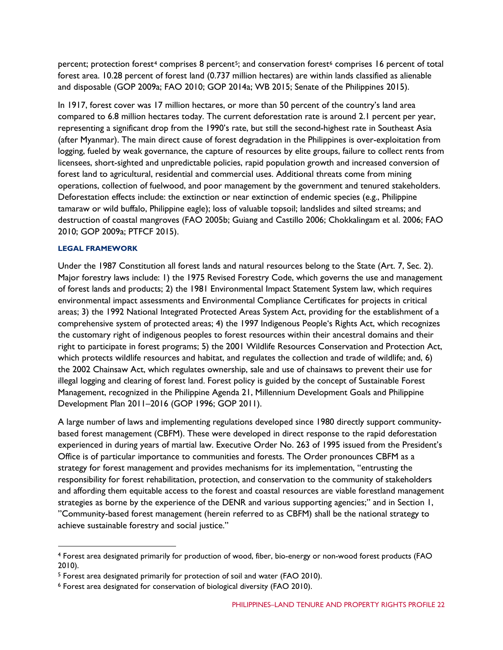percent; protection forest<sup>[4](#page-21-0)</sup> comprises 8 percent<sup>5</sup>; and conservation forest<sup>[6](#page-21-2)</sup> comprises 16 percent of total forest area. 10.28 percent of forest land (0.737 million hectares) are within lands classified as alienable and disposable (GOP 2009a; FAO 2010; GOP 2014a; WB 2015; Senate of the Philippines 2015).

In 1917, forest cover was 17 million hectares, or more than 50 percent of the country's land area compared to 6.8 million hectares today. The current deforestation rate is around 2.1 percent per year, representing a significant drop from the 1990's rate, but still the second-highest rate in Southeast Asia (after Myanmar). The main direct cause of forest degradation in the Philippines is over-exploitation from logging, fueled by weak governance, the capture of resources by elite groups, failure to collect rents from licensees, short-sighted and unpredictable policies, rapid population growth and increased conversion of forest land to agricultural, residential and commercial uses. Additional threats come from mining operations, collection of fuelwood, and poor management by the government and tenured stakeholders. Deforestation effects include: the extinction or near extinction of endemic species (e.g., Philippine tamaraw or wild buffalo, Philippine eagle); loss of valuable topsoil; landslides and silted streams; and destruction of coastal mangroves (FAO 2005b; Guiang and Castillo 2006; Chokkalingam et al. 2006; FAO 2010; GOP 2009a; PTFCF 2015).

#### **LEGAL FRAMEWORK**

Under the 1987 Constitution all forest lands and natural resources belong to the State (Art. 7, Sec. 2). Major forestry laws include: 1) the 1975 Revised Forestry Code, which governs the use and management of forest lands and products; 2) the 1981 Environmental Impact Statement System law, which requires environmental impact assessments and Environmental Compliance Certificates for projects in critical areas; 3) the 1992 National Integrated Protected Areas System Act, providing for the establishment of a comprehensive system of protected areas; 4) the 1997 Indigenous People's Rights Act, which recognizes the customary right of indigenous peoples to forest resources within their ancestral domains and their right to participate in forest programs; 5) the 2001 Wildlife Resources Conservation and Protection Act, which protects wildlife resources and habitat, and regulates the collection and trade of wildlife; and, 6) the 2002 Chainsaw Act, which regulates ownership, sale and use of chainsaws to prevent their use for illegal logging and clearing of forest land. Forest policy is guided by the concept of Sustainable Forest Management, recognized in the Philippine Agenda 21, Millennium Development Goals and Philippine Development Plan 2011–2016 (GOP 1996; GOP 2011).

A large number of laws and implementing regulations developed since 1980 directly support communitybased forest management (CBFM). These were developed in direct response to the rapid deforestation experienced in during years of martial law. Executive Order No. 263 of 1995 issued from the President's Office is of particular importance to communities and forests. The Order pronounces CBFM as a strategy for forest management and provides mechanisms for its implementation, "entrusting the responsibility for forest rehabilitation, protection, and conservation to the community of stakeholders and affording them equitable access to the forest and coastal resources are viable forestland management strategies as borne by the experience of the DENR and various supporting agencies;" and in Section 1, "Community-based forest management (herein referred to as CBFM) shall be the national strategy to achieve sustainable forestry and social justice."

<span id="page-21-0"></span> <sup>4</sup> Forest area designated primarily for production of wood, fiber, bio-energy or non-wood forest products (FAO 2010).

<span id="page-21-1"></span><sup>5</sup> Forest area designated primarily for protection of soil and water (FAO 2010).

<span id="page-21-2"></span><sup>6</sup> Forest area designated for conservation of biological diversity (FAO 2010).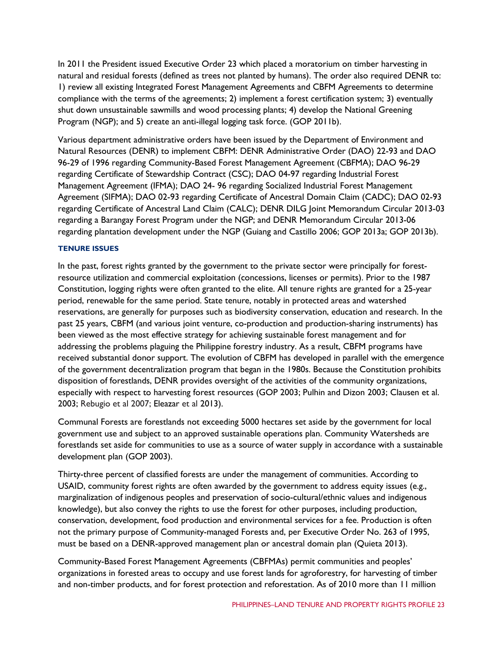In 2011 the President issued Executive Order 23 which placed a moratorium on timber harvesting in natural and residual forests (defined as trees not planted by humans). The order also required DENR to: 1) review all existing Integrated Forest Management Agreements and CBFM Agreements to determine compliance with the terms of the agreements; 2) implement a forest certification system; 3) eventually shut down unsustainable sawmills and wood processing plants; 4) develop the National Greening Program (NGP); and 5) create an anti-illegal logging task force. (GOP 2011b).

Various department administrative orders have been issued by the Department of Environment and Natural Resources (DENR) to implement CBFM: DENR Administrative Order (DAO) 22-93 and DAO 96-29 of 1996 regarding Community-Based Forest Management Agreement (CBFMA); DAO 96-29 regarding Certificate of Stewardship Contract (CSC); DAO 04-97 regarding Industrial Forest Management Agreement (IFMA); DAO 24- 96 regarding Socialized Industrial Forest Management Agreement (SIFMA); DAO 02-93 regarding Certificate of Ancestral Domain Claim (CADC); DAO 02-93 regarding Certificate of Ancestral Land Claim (CALC); DENR DILG Joint Memorandum Circular 2013-03 regarding a Barangay Forest Program under the NGP; and DENR Memorandum Circular 2013-06 regarding plantation development under the NGP (Guiang and Castillo 2006; GOP 2013a; GOP 2013b).

#### **TENURE ISSUES**

In the past, forest rights granted by the government to the private sector were principally for forestresource utilization and commercial exploitation (concessions, licenses or permits). Prior to the 1987 Constitution, logging rights were often granted to the elite. All tenure rights are granted for a 25-year period, renewable for the same period. State tenure, notably in protected areas and watershed reservations, are generally for purposes such as biodiversity conservation, education and research. In the past 25 years, CBFM (and various joint venture, co-production and production-sharing instruments) has been viewed as the most effective strategy for achieving sustainable forest management and for addressing the problems plaguing the Philippine forestry industry. As a result, CBFM programs have received substantial donor support. The evolution of CBFM has developed in parallel with the emergence of the government decentralization program that began in the 1980s. Because the Constitution prohibits disposition of forestlands, DENR provides oversight of the activities of the community organizations, especially with respect to harvesting forest resources (GOP 2003; Pulhin and Dizon 2003; Clausen et al. 2003; Rebugio et al 2007; Eleazar et al 2013).

Communal Forests are forestlands not exceeding 5000 hectares set aside by the government for local government use and subject to an approved sustainable operations plan. Community Watersheds are forestlands set aside for communities to use as a source of water supply in accordance with a sustainable development plan (GOP 2003).

Thirty-three percent of classified forests are under the management of communities. According to USAID, community forest rights are often awarded by the government to address equity issues (e.g., marginalization of indigenous peoples and preservation of socio-cultural/ethnic values and indigenous knowledge), but also convey the rights to use the forest for other purposes, including production, conservation, development, food production and environmental services for a fee. Production is often not the primary purpose of Community-managed Forests and, per Executive Order No. 263 of 1995, must be based on a DENR-approved management plan or ancestral domain plan (Quieta 2013).

Community-Based Forest Management Agreements (CBFMAs) permit communities and peoples' organizations in forested areas to occupy and use forest lands for agroforestry, for harvesting of timber and non-timber products, and for forest protection and reforestation. As of 2010 more than 11 million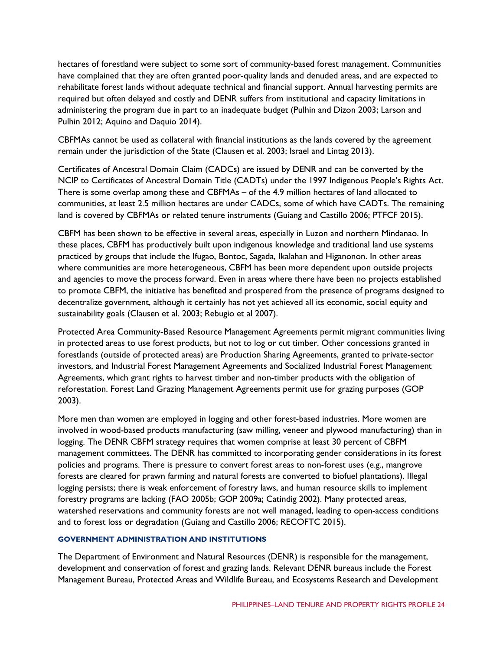hectares of forestland were subject to some sort of community-based forest management. Communities have complained that they are often granted poor-quality lands and denuded areas, and are expected to rehabilitate forest lands without adequate technical and financial support. Annual harvesting permits are required but often delayed and costly and DENR suffers from institutional and capacity limitations in administering the program due in part to an inadequate budget (Pulhin and Dizon 2003; Larson and Pulhin 2012; Aquino and Daquio 2014).

CBFMAs cannot be used as collateral with financial institutions as the lands covered by the agreement remain under the jurisdiction of the State (Clausen et al. 2003; Israel and Lintag 2013).

Certificates of Ancestral Domain Claim (CADCs) are issued by DENR and can be converted by the NCIP to Certificates of Ancestral Domain Title (CADTs) under the 1997 Indigenous People's Rights Act. There is some overlap among these and CBFMAs – of the 4.9 million hectares of land allocated to communities, at least 2.5 million hectares are under CADCs, some of which have CADTs. The remaining land is covered by CBFMAs or related tenure instruments (Guiang and Castillo 2006; PTFCF 2015).

CBFM has been shown to be effective in several areas, especially in Luzon and northern Mindanao. In these places, CBFM has productively built upon indigenous knowledge and traditional land use systems practiced by groups that include the Ifugao, Bontoc, Sagada, Ikalahan and Higanonon. In other areas where communities are more heterogeneous, CBFM has been more dependent upon outside projects and agencies to move the process forward. Even in areas where there have been no projects established to promote CBFM, the initiative has benefited and prospered from the presence of programs designed to decentralize government, although it certainly has not yet achieved all its economic, social equity and sustainability goals (Clausen et al. 2003; Rebugio et al 2007).

Protected Area Community-Based Resource Management Agreements permit migrant communities living in protected areas to use forest products, but not to log or cut timber. Other concessions granted in forestlands (outside of protected areas) are Production Sharing Agreements, granted to private-sector investors, and Industrial Forest Management Agreements and Socialized Industrial Forest Management Agreements, which grant rights to harvest timber and non-timber products with the obligation of reforestation. Forest Land Grazing Management Agreements permit use for grazing purposes (GOP 2003).

More men than women are employed in logging and other forest-based industries. More women are involved in wood-based products manufacturing (saw milling, veneer and plywood manufacturing) than in logging. The DENR CBFM strategy requires that women comprise at least 30 percent of CBFM management committees. The DENR has committed to incorporating gender considerations in its forest policies and programs. There is pressure to convert forest areas to non-forest uses (e.g., mangrove forests are cleared for prawn farming and natural forests are converted to biofuel plantations). Illegal logging persists; there is weak enforcement of forestry laws, and human resource skills to implement forestry programs are lacking (FAO 2005b; GOP 2009a; Catindig 2002). Many protected areas, watershed reservations and community forests are not well managed, leading to open-access conditions and to forest loss or degradation (Guiang and Castillo 2006; RECOFTC 2015).

#### **GOVERNMENT ADMINISTRATION AND INSTITUTIONS**

The Department of Environment and Natural Resources (DENR) is responsible for the management, development and conservation of forest and grazing lands. Relevant DENR bureaus include the Forest Management Bureau, Protected Areas and Wildlife Bureau, and Ecosystems Research and Development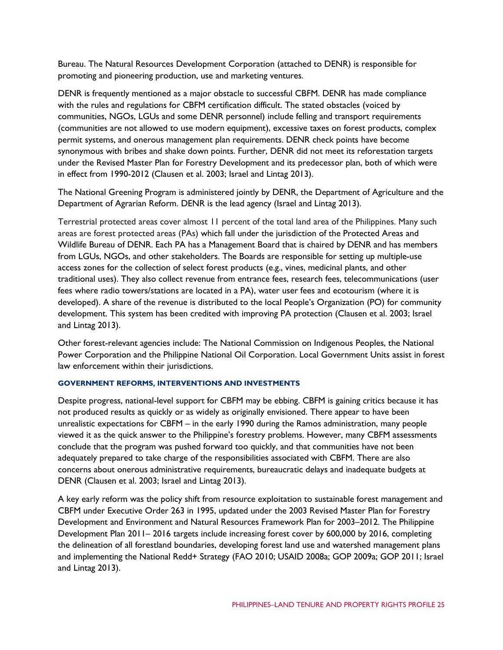Bureau. The Natural Resources Development Corporation (attached to DENR) is responsible for promoting and pioneering production, use and marketing ventures.

DENR is frequently mentioned as a major obstacle to successful CBFM. DENR has made compliance with the rules and regulations for CBFM certification difficult. The stated obstacles (voiced by communities, NGOs, LGUs and some DENR personnel) include felling and transport requirements (communities are not allowed to use modern equipment), excessive taxes on forest products, complex permit systems, and onerous management plan requirements. DENR check points have become synonymous with bribes and shake down points. Further, DENR did not meet its reforestation targets under the Revised Master Plan for Forestry Development and its predecessor plan, both of which were in effect from 1990-2012 (Clausen et al. 2003; Israel and Lintag 2013).

The National Greening Program is administered jointly by DENR, the Department of Agriculture and the Department of Agrarian Reform. DENR is the lead agency (Israel and Lintag 2013).

Terrestrial protected areas cover almost 11 percent of the total land area of the Philippines. Many such areas are forest protected areas (PAs) which fall under the jurisdiction of the Protected Areas and Wildlife Bureau of DENR. Each PA has a Management Board that is chaired by DENR and has members from LGUs, NGOs, and other stakeholders. The Boards are responsible for setting up multiple-use access zones for the collection of select forest products (e.g., vines, medicinal plants, and other traditional uses). They also collect revenue from entrance fees, research fees, telecommunications (user fees where radio towers/stations are located in a PA), water user fees and ecotourism (where it is developed). A share of the revenue is distributed to the local People's Organization (PO) for community development. This system has been credited with improving PA protection (Clausen et al. 2003; Israel and Lintag 2013).

Other forest-relevant agencies include: The National Commission on Indigenous Peoples, the National Power Corporation and the Philippine National Oil Corporation. Local Government Units assist in forest law enforcement within their jurisdictions.

#### **GOVERNMENT REFORMS, INTERVENTIONS AND INVESTMENTS**

Despite progress, national-level support for CBFM may be ebbing. CBFM is gaining critics because it has not produced results as quickly or as widely as originally envisioned. There appear to have been unrealistic expectations for CBFM – in the early 1990 during the Ramos administration, many people viewed it as the quick answer to the Philippine's forestry problems. However, many CBFM assessments conclude that the program was pushed forward too quickly, and that communities have not been adequately prepared to take charge of the responsibilities associated with CBFM. There are also concerns about onerous administrative requirements, bureaucratic delays and inadequate budgets at DENR (Clausen et al. 2003; Israel and Lintag 2013).

A key early reform was the policy shift from resource exploitation to sustainable forest management and CBFM under Executive Order 263 in 1995, updated under the 2003 Revised Master Plan for Forestry Development and Environment and Natural Resources Framework Plan for 2003–2012. The Philippine Development Plan 2011– 2016 targets include increasing forest cover by 600,000 by 2016, completing the delineation of all forestland boundaries, developing forest land use and watershed management plans and implementing the National Redd+ Strategy (FAO 2010; USAID 2008a; GOP 2009a; GOP 2011; Israel and Lintag 2013).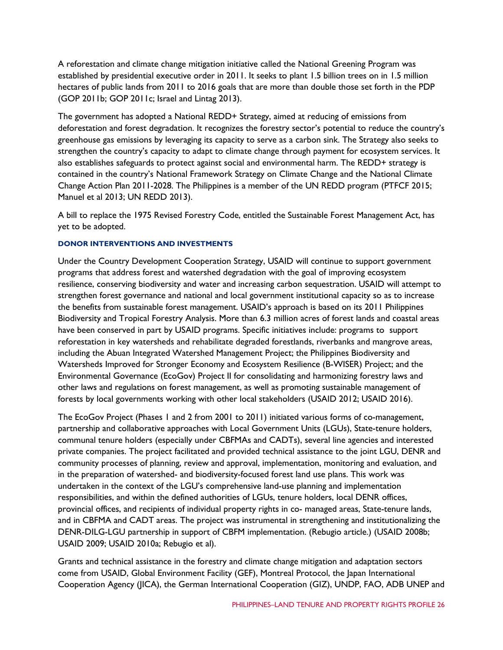A reforestation and climate change mitigation initiative called the National Greening Program was established by presidential executive order in 2011. It seeks to plant 1.5 billion trees on in 1.5 million hectares of public lands from 2011 to 2016 goals that are more than double those set forth in the PDP (GOP 2011b; GOP 2011c; Israel and Lintag 2013).

The government has adopted a National REDD+ Strategy, aimed at reducing of emissions from deforestation and forest degradation. It recognizes the forestry sector's potential to reduce the country's greenhouse gas emissions by leveraging its capacity to serve as a carbon sink. The Strategy also seeks to strengthen the country's capacity to adapt to climate change through payment for ecosystem services. It also establishes safeguards to protect against social and environmental harm. The REDD+ strategy is contained in the country's National Framework Strategy on Climate Change and the National Climate Change Action Plan 2011-2028. The Philippines is a member of the UN REDD program (PTFCF 2015; Manuel et al 2013; UN REDD 2013).

A bill to replace the 1975 Revised Forestry Code, entitled the Sustainable Forest Management Act, has yet to be adopted.

#### **DONOR INTERVENTIONS AND INVESTMENTS**

Under the Country Development Cooperation Strategy, USAID will continue to support government programs that address forest and watershed degradation with the goal of improving ecosystem resilience, conserving biodiversity and water and increasing carbon sequestration. USAID will attempt to strengthen forest governance and national and local government institutional capacity so as to increase the benefits from sustainable forest management. USAID's approach is based on its 2011 Philippines Biodiversity and Tropical Forestry Analysis. More than 6.3 million acres of forest lands and coastal areas have been conserved in part by USAID programs. Specific initiatives include: programs to support reforestation in key watersheds and rehabilitate degraded forestlands, riverbanks and mangrove areas, including the Abuan Integrated Watershed Management Project; the Philippines Biodiversity and Watersheds Improved for Stronger Economy and Ecosystem Resilience (B-WISER) Project; and the Environmental Governance (EcoGov) Project II for consolidating and harmonizing forestry laws and other laws and regulations on forest management, as well as promoting sustainable management of forests by local governments working with other local stakeholders (USAID 2012; USAID 2016).

The EcoGov Project (Phases 1 and 2 from 2001 to 2011) initiated various forms of co-management, partnership and collaborative approaches with Local Government Units (LGUs), State-tenure holders, communal tenure holders (especially under CBFMAs and CADTs), several line agencies and interested private companies. The project facilitated and provided technical assistance to the joint LGU, DENR and community processes of planning, review and approval, implementation, monitoring and evaluation, and in the preparation of watershed- and biodiversity-focused forest land use plans. This work was undertaken in the context of the LGU's comprehensive land-use planning and implementation responsibilities, and within the defined authorities of LGUs, tenure holders, local DENR offices, provincial offices, and recipients of individual property rights in co- managed areas, State-tenure lands, and in CBFMA and CADT areas. The project was instrumental in strengthening and institutionalizing the DENR-DILG-LGU partnership in support of CBFM implementation. (Rebugio article.) (USAID 2008b; USAID 2009; USAID 2010a; Rebugio et al).

Grants and technical assistance in the forestry and climate change mitigation and adaptation sectors come from USAID, Global Environment Facility (GEF), Montreal Protocol, the Japan International Cooperation Agency (JICA), the German International Cooperation (GIZ), UNDP, FAO, ADB UNEP and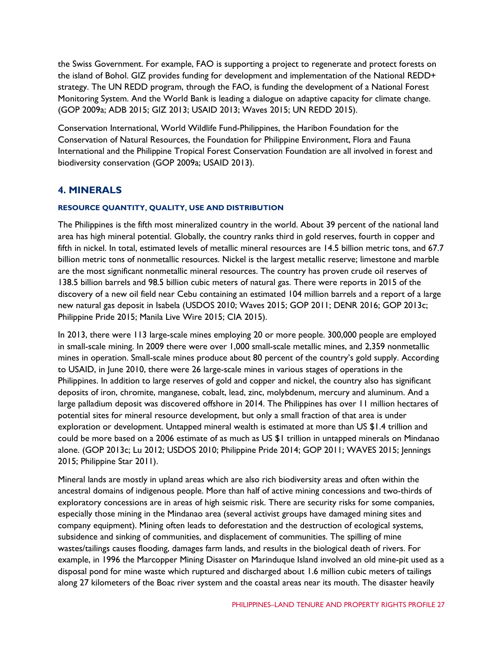the Swiss Government. For example, FAO is supporting a project to regenerate and protect forests on the island of Bohol. GIZ provides funding for development and implementation of the National REDD+ strategy. The UN REDD program, through the FAO, is funding the development of a National Forest Monitoring System. And the World Bank is leading a dialogue on adaptive capacity for climate change. (GOP 2009a; ADB 2015; GIZ 2013; USAID 2013; Waves 2015; UN REDD 2015).

Conservation International, World Wildlife Fund-Philippines, the Haribon Foundation for the Conservation of Natural Resources, the Foundation for Philippine Environment, Flora and Fauna International and the Philippine Tropical Forest Conservation Foundation are all involved in forest and biodiversity conservation (GOP 2009a; USAID 2013).

## **4. MINERALS**

#### **RESOURCE QUANTITY, QUALITY, USE AND DISTRIBUTION**

The Philippines is the fifth most mineralized country in the world. About 39 percent of the national land area has high mineral potential. Globally, the country ranks third in gold reserves, fourth in copper and fifth in nickel. In total, estimated levels of metallic mineral resources are 14.5 billion metric tons, and 67.7 billion metric tons of nonmetallic resources. Nickel is the largest metallic reserve; limestone and marble are the most significant nonmetallic mineral resources. The country has proven crude oil reserves of 138.5 billion barrels and 98.5 billion cubic meters of natural gas. There were reports in 2015 of the discovery of a new oil field near Cebu containing an estimated 104 million barrels and a report of a large new natural gas deposit in Isabela (USDOS 2010; Waves 2015; GOP 2011; DENR 2016; GOP 2013c; Philippine Pride 2015; Manila Live Wire 2015; CIA 2015).

In 2013, there were 113 large-scale mines employing 20 or more people. 300,000 people are employed in small-scale mining. In 2009 there were over 1,000 small-scale metallic mines, and 2,359 nonmetallic mines in operation. Small-scale mines produce about 80 percent of the country's gold supply. According to USAID, in June 2010, there were 26 large-scale mines in various stages of operations in the Philippines. In addition to large reserves of gold and copper and nickel, the country also has significant deposits of iron, chromite, manganese, cobalt, lead, zinc, molybdenum, mercury and aluminum. And a large palladium deposit was discovered offshore in 2014. The Philippines has over 11 million hectares of potential sites for mineral resource development, but only a small fraction of that area is under exploration or development. Untapped mineral wealth is estimated at more than US \$1.4 trillion and could be more based on a 2006 estimate of as much as US \$1 trillion in untapped minerals on Mindanao alone. (GOP 2013c; Lu 2012; USDOS 2010; Philippine Pride 2014; GOP 2011; WAVES 2015; Jennings 2015; Philippine Star 2011).

Mineral lands are mostly in upland areas which are also rich biodiversity areas and often within the ancestral domains of indigenous people. More than half of active mining concessions and two-thirds of exploratory concessions are in areas of high seismic risk. There are security risks for some companies, especially those mining in the Mindanao area (several activist groups have damaged mining sites and company equipment). Mining often leads to deforestation and the destruction of ecological systems, subsidence and sinking of communities, and displacement of communities. The spilling of mine wastes/tailings causes flooding, damages farm lands, and results in the biological death of rivers. For example, in 1996 the Marcopper Mining Disaster on Marinduque Island involved an old mine-pit used as a disposal pond for mine waste which ruptured and discharged about 1.6 million cubic meters of tailings along 27 kilometers of the Boac river system and the coastal areas near its mouth. The disaster heavily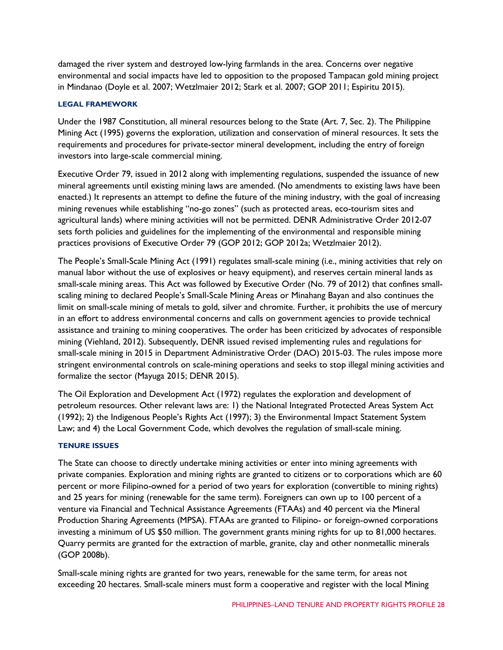damaged the river system and destroyed low-lying farmlands in the area. Concerns over negative environmental and social impacts have led to opposition to the proposed Tampacan gold mining project in Mindanao (Doyle et al. 2007; Wetzlmaier 2012; Stark et al. 2007; GOP 2011; Espiritu 2015).

#### **LEGAL FRAMEWORK**

Under the 1987 Constitution, all mineral resources belong to the State (Art. 7, Sec. 2). The Philippine Mining Act (1995) governs the exploration, utilization and conservation of mineral resources. It sets the requirements and procedures for private-sector mineral development, including the entry of foreign investors into large-scale commercial mining.

Executive Order 79, issued in 2012 along with implementing regulations, suspended the issuance of new mineral agreements until existing mining laws are amended. (No amendments to existing laws have been enacted.) It represents an attempt to define the future of the mining industry, with the goal of increasing mining revenues while establishing "no-go zones" (such as protected areas, eco-tourism sites and agricultural lands) where mining activities will not be permitted. DENR Administrative Order 2012-07 sets forth policies and guidelines for the implementing of the environmental and responsible mining practices provisions of Executive Order 79 (GOP 2012; GOP 2012a; Wetzlmaier 2012).

The People's Small-Scale Mining Act (1991) regulates small-scale mining (i.e., mining activities that rely on manual labor without the use of explosives or heavy equipment), and reserves certain mineral lands as small-scale mining areas. This Act was followed by Executive Order (No. 79 of 2012) that confines smallscaling mining to declared People's Small-Scale Mining Areas or Minahang Bayan and also continues the limit on small-scale mining of metals to gold, silver and chromite. Further, it prohibits the use of mercury in an effort to address environmental concerns and calls on government agencies to provide technical assistance and training to mining cooperatives. The order has been criticized by advocates of responsible mining (Viehland, 2012). Subsequently, DENR issued revised implementing rules and regulations for small-scale mining in 2015 in Department Administrative Order (DAO) 2015-03. The rules impose more stringent environmental controls on scale-mining operations and seeks to stop illegal mining activities and formalize the sector (Mayuga 2015; DENR 2015).

The Oil Exploration and Development Act (1972) regulates the exploration and development of petroleum resources. Other relevant laws are: 1) the National Integrated Protected Areas System Act (1992); 2) the Indigenous People's Rights Act (1997); 3) the Environmental Impact Statement System Law; and 4) the Local Government Code, which devolves the regulation of small-scale mining.

#### **TENURE ISSUES**

The State can choose to directly undertake mining activities or enter into mining agreements with private companies. Exploration and mining rights are granted to citizens or to corporations which are 60 percent or more Filipino-owned for a period of two years for exploration (convertible to mining rights) and 25 years for mining (renewable for the same term). Foreigners can own up to 100 percent of a venture via Financial and Technical Assistance Agreements (FTAAs) and 40 percent via the Mineral Production Sharing Agreements (MPSA). FTAAs are granted to Filipino- or foreign-owned corporations investing a minimum of US \$50 million. The government grants mining rights for up to 81,000 hectares. Quarry permits are granted for the extraction of marble, granite, clay and other nonmetallic minerals (GOP 2008b).

Small-scale mining rights are granted for two years, renewable for the same term, for areas not exceeding 20 hectares. Small-scale miners must form a cooperative and register with the local Mining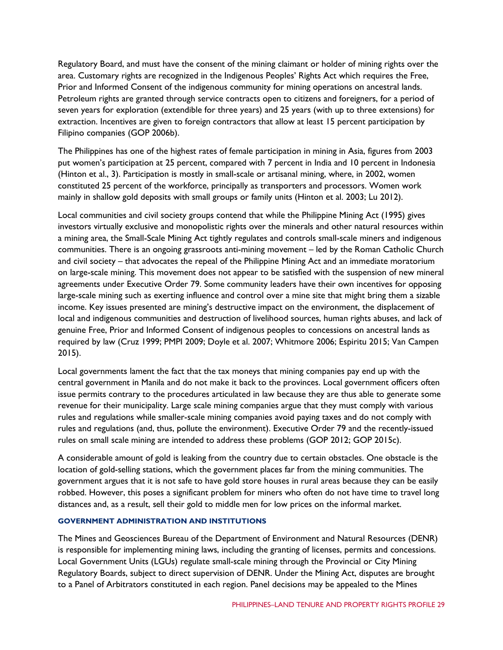Regulatory Board, and must have the consent of the mining claimant or holder of mining rights over the area. Customary rights are recognized in the Indigenous Peoples' Rights Act which requires the Free, Prior and Informed Consent of the indigenous community for mining operations on ancestral lands. Petroleum rights are granted through service contracts open to citizens and foreigners, for a period of seven years for exploration (extendible for three years) and 25 years (with up to three extensions) for extraction. Incentives are given to foreign contractors that allow at least 15 percent participation by Filipino companies (GOP 2006b).

The Philippines has one of the highest rates of female participation in mining in Asia, figures from 2003 put women's participation at 25 percent, compared with 7 percent in India and 10 percent in Indonesia (Hinton et al., 3). Participation is mostly in small-scale or artisanal mining, where, in 2002, women constituted 25 percent of the workforce, principally as transporters and processors. Women work mainly in shallow gold deposits with small groups or family units (Hinton et al. 2003; Lu 2012).

Local communities and civil society groups contend that while the Philippine Mining Act (1995) gives investors virtually exclusive and monopolistic rights over the minerals and other natural resources within a mining area, the Small-Scale Mining Act tightly regulates and controls small-scale miners and indigenous communities. There is an ongoing grassroots anti-mining movement – led by the Roman Catholic Church and civil society – that advocates the repeal of the Philippine Mining Act and an immediate moratorium on large-scale mining. This movement does not appear to be satisfied with the suspension of new mineral agreements under Executive Order 79. Some community leaders have their own incentives for opposing large-scale mining such as exerting influence and control over a mine site that might bring them a sizable income. Key issues presented are mining's destructive impact on the environment, the displacement of local and indigenous communities and destruction of livelihood sources, human rights abuses, and lack of genuine Free, Prior and Informed Consent of indigenous peoples to concessions on ancestral lands as required by law (Cruz 1999; PMPI 2009; Doyle et al. 2007; Whitmore 2006; Espiritu 2015; Van Campen 2015).

Local governments lament the fact that the tax moneys that mining companies pay end up with the central government in Manila and do not make it back to the provinces. Local government officers often issue permits contrary to the procedures articulated in law because they are thus able to generate some revenue for their municipality. Large scale mining companies argue that they must comply with various rules and regulations while smaller-scale mining companies avoid paying taxes and do not comply with rules and regulations (and, thus, pollute the environment). Executive Order 79 and the recently-issued rules on small scale mining are intended to address these problems (GOP 2012; GOP 2015c).

A considerable amount of gold is leaking from the country due to certain obstacles. One obstacle is the location of gold-selling stations, which the government places far from the mining communities. The government argues that it is not safe to have gold store houses in rural areas because they can be easily robbed. However, this poses a significant problem for miners who often do not have time to travel long distances and, as a result, sell their gold to middle men for low prices on the informal market.

#### **GOVERNMENT ADMINISTRATION AND INSTITUTIONS**

The Mines and Geosciences Bureau of the Department of Environment and Natural Resources (DENR) is responsible for implementing mining laws, including the granting of licenses, permits and concessions. Local Government Units (LGUs) regulate small-scale mining through the Provincial or City Mining Regulatory Boards, subject to direct supervision of DENR. Under the Mining Act, disputes are brought to a Panel of Arbitrators constituted in each region. Panel decisions may be appealed to the Mines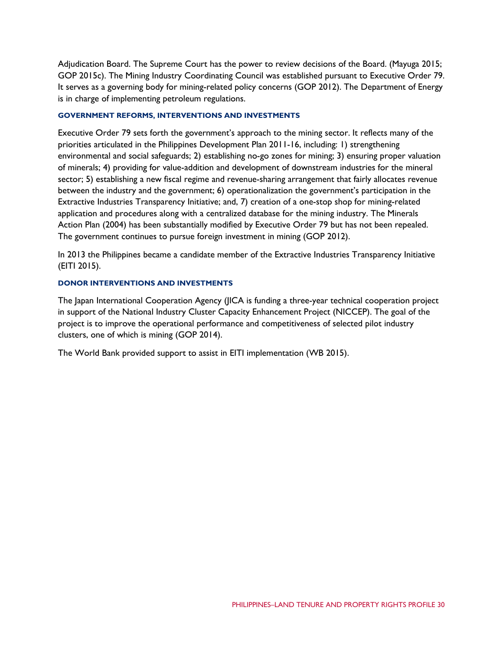Adjudication Board. The Supreme Court has the power to review decisions of the Board. (Mayuga 2015; GOP 2015c). The Mining Industry Coordinating Council was established pursuant to Executive Order 79. It serves as a governing body for mining-related policy concerns (GOP 2012). The Department of Energy is in charge of implementing petroleum regulations.

#### **GOVERNMENT REFORMS, INTERVENTIONS AND INVESTMENTS**

Executive Order 79 sets forth the government's approach to the mining sector. It reflects many of the priorities articulated in the Philippines Development Plan 2011-16, including: 1) strengthening environmental and social safeguards; 2) establishing no-go zones for mining; 3) ensuring proper valuation of minerals; 4) providing for value-addition and development of downstream industries for the mineral sector; 5) establishing a new fiscal regime and revenue-sharing arrangement that fairly allocates revenue between the industry and the government; 6) operationalization the government's participation in the Extractive Industries Transparency Initiative; and, 7) creation of a one-stop shop for mining-related application and procedures along with a centralized database for the mining industry. The Minerals Action Plan (2004) has been substantially modified by Executive Order 79 but has not been repealed. The government continues to pursue foreign investment in mining (GOP 2012).

In 2013 the Philippines became a candidate member of the Extractive Industries Transparency Initiative (EITI 2015).

#### **DONOR INTERVENTIONS AND INVESTMENTS**

The Japan International Cooperation Agency (JICA is funding a three-year technical cooperation project in support of the National Industry Cluster Capacity Enhancement Project (NICCEP). The goal of the project is to improve the operational performance and competitiveness of selected pilot industry clusters, one of which is mining (GOP 2014).

The World Bank provided support to assist in EITI implementation (WB 2015).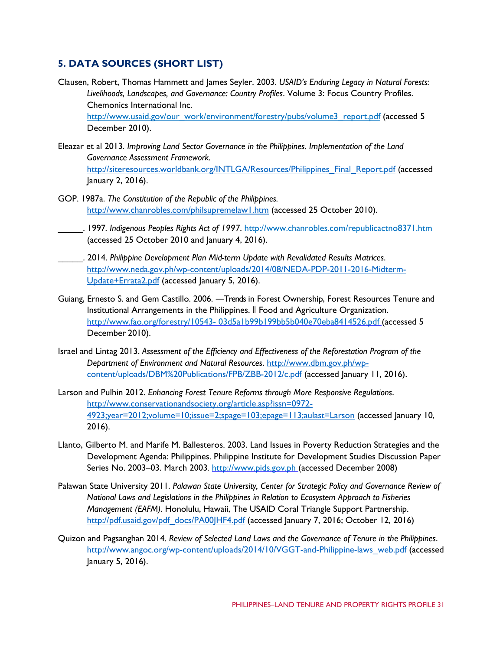## **5. DATA SOURCES (SHORT LIST)**

- Clausen, Robert, Thomas Hammett and James Seyler. 2003. *USAID's Enduring Legacy in Natural Forests: Livelihoods, Landscapes, and Governance: Country Profiles*. Volume 3: Focus Country Profiles. Chemonics International Inc. [http://www.usaid.gov/our\\_work/environment/forestry/pubs/volume3\\_report.pdf](http://www.usaid.gov/our_work/environment/forestry/pubs/volume3_report.pdf) (accessed 5 December 2010).
- Eleazar et al 2013. *Improving Land Sector Governance in the Philippines. Implementation of the Land Governance Assessment Framework.* [http://siteresources.worldbank.org/INTLGA/Resources/Philippines\\_Final\\_Report.pdf](http://siteresources.worldbank.org/INTLGA/Resources/Philippines_Final_Report.pdf) (accessed January 2, 2016).
- GOP. 1987a. *The Constitution of the Republic of the Philippines.* <http://www.chanrobles.com/philsupremelaw1.htm> (accessed 25 October 2010).
- \_\_\_\_\_. 1997*. Indigenous Peoples Rights Act of 1997*.<http://www.chanrobles.com/republicactno8371.htm> (accessed 25 October 2010 and January 4, 2016).
- \_\_\_\_\_. 2014. *Philippine Development Plan Mid-term Update with Revalidated Results Matrices*. [http://www.neda.gov.ph/wp-content/uploads/2014/08/NEDA-PDP-2011-2016-Midterm-](http://www.neda.gov.ph/wp-content/uploads/2014/08/NEDA-PDP-2011-2016-Midterm-Update+Errata2.pdf)[Update+Errata2.pdf](http://www.neda.gov.ph/wp-content/uploads/2014/08/NEDA-PDP-2011-2016-Midterm-Update+Errata2.pdf) (accessed January 5, 2016).
- Guiang, Ernesto S. and Gem Castillo. 2006. ―Trends in Forest Ownership, Forest Resources Tenure and Institutional Arrangements in the Philippines. ‖ Food and Agriculture Organization. [http://www.fao.org/forestry/10543-](http://www.fao.org/forestry/10543-03d5a1b99b199bb5b040e70eba8414526.pdf) [03d5a1b99b199bb5b040e70eba8414526.pdf \(](http://www.fao.org/forestry/10543-03d5a1b99b199bb5b040e70eba8414526.pdf)accessed 5 December 2010).
- Israel and Lintag 2013. *Assessment of the Efficiency and Effectiveness of the Reforestation Program of the Department of Environment and Natural Resources*. [http://www.dbm.gov.ph/wp](http://www.dbm.gov.ph/wp-content/uploads/DBM%20Publications/FPB/ZBB-2012/c.pdf)[content/uploads/DBM%20Publications/FPB/ZBB-2012/c.pdf](http://www.dbm.gov.ph/wp-content/uploads/DBM%20Publications/FPB/ZBB-2012/c.pdf) (accessed January 11, 2016).
- Larson and Pulhin 2012. *Enhancing Forest Tenure Reforms through More Responsive Regulations*. [http://www.conservationandsociety.org/article.asp?issn=0972-](http://www.conservationandsociety.org/article.asp?issn=0972-4923;year=2012;volume=10;issue=2;spage=103;epage=113;aulast=Larson) [4923;year=2012;volume=10;issue=2;spage=103;epage=113;aulast=Larson](http://www.conservationandsociety.org/article.asp?issn=0972-4923;year=2012;volume=10;issue=2;spage=103;epage=113;aulast=Larson) (accessed January 10, 2016).
- Llanto, Gilberto M. and Marife M. Ballesteros. 2003. Land Issues in Poverty Reduction Strategies and the Development Agenda: Philippines. Philippine Institute for Development Studies Discussion Paper Series No. 2003–03. March 2003*.* [http://www.pids.gov.ph](http://www.pids.gov.ph/) (accessed December 2008)
- Palawan State University 2011. *Palawan State University, Center for Strategic Policy and Governance Review of National Laws and Legislations in the Philippines in Relation to Ecosystem Approach to Fisheries Management (EAFM)*. Honolulu, Hawaii, The USAID Coral Triangle Support Partnership. [http://pdf.usaid.gov/pdf\\_docs/PA00JHF4.pdf](http://pdf.usaid.gov/pdf_docs/PA00JHF4.pdf) (accessed January 7, 2016; October 12, 2016)
- Quizon and Pagsanghan 2014*. Review of Selected Land Laws and the Governance of Tenure in the Philippines*. [http://www.angoc.org/wp-content/uploads/2014/10/VGGT-and-Philippine-laws\\_web.pdf](http://www.angoc.org/wp-content/uploads/2014/10/VGGT-and-Philippine-laws_web.pdf) (accessed January 5, 2016).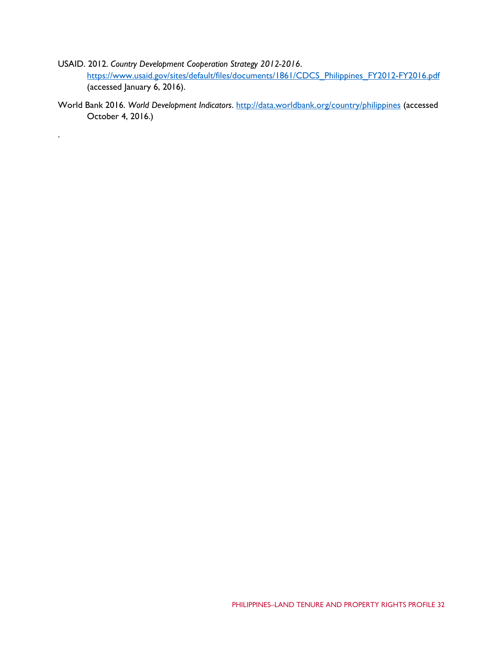- USAID. 2012. *Country Development Cooperation Strategy 2012-2016*. [https://www.usaid.gov/sites/default/files/documents/1861/CDCS\\_Philippines\\_FY2012-FY2016.pdf](https://www.usaid.gov/sites/default/files/documents/1861/CDCS_Philippines_FY2012-FY2016.pdf) (accessed January 6, 2016).
- World Bank 2016. *World Development Indicators*.<http://data.worldbank.org/country/philippines> (accessed October 4, 2016.)

.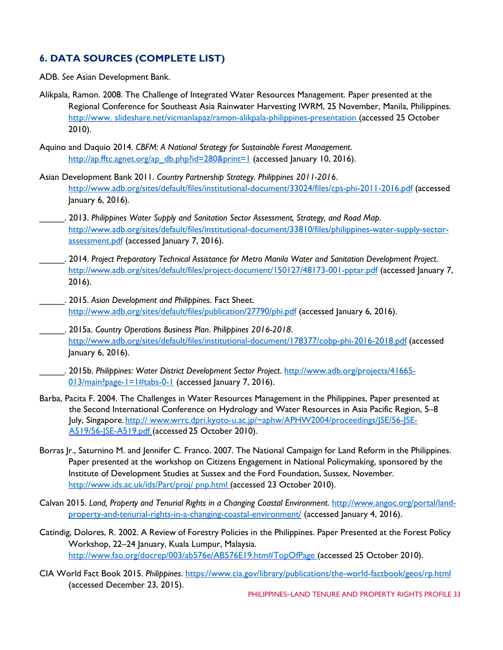## **6. DATA SOURCES (COMPLETE LIST)**

ADB. *See* Asian Development Bank.

- Alikpala, Ramon. 2008. The Challenge of Integrated Water Resources Management. Paper presented at the Regional Conference for Southeast Asia Rainwater Harvesting IWRM, 25 November, Manila, Philippines. [http://www. slideshare.net/vicmanlapaz/ramon-alikpala-philippines-presentation \(](http://www.slideshare.net/vicmanlapaz/ramon-alikpala-philippines-presentation)accessed 25 October 2010).
- Aquino and Daquio 2014. *CBFM: A National Strategy for Sustainable Forest Management*. [http://ap.fftc.agnet.org/ap\\_db.php?id=280&print=1](http://ap.fftc.agnet.org/ap_db.php?id=280&print=1) (accessed January 10, 2016).
- Asian Development Bank 2011. *Country Partnership Strategy. Philippines 2011-2016*. <http://www.adb.org/sites/default/files/institutional-document/33024/files/cps-phi-2011-2016.pdf> (accessed January 6, 2016).
- \_\_\_\_\_. 2013. *Philippines Water Supply and Sanitation Sector Assessment, Strategy, and Road Map*. [http://www.adb.org/sites/default/files/institutional-document/33810/files/philippines-water-supply-sector](http://www.adb.org/sites/default/files/institutional-document/33810/files/philippines-water-supply-sector-assessment.pdf)[assessment.pdf](http://www.adb.org/sites/default/files/institutional-document/33810/files/philippines-water-supply-sector-assessment.pdf) (accessed January 7, 2016).
- \_\_\_\_\_. 2014. *Project Preparatory Technical Assistance for Metro Manila Water and Sanitation Development Project*. <http://www.adb.org/sites/default/files/project-document/150127/48173-001-pptar.pdf> (accessed January 7, 2016).
- \_\_\_\_\_. 2015. *Asian Development and Philippines*. Fact Sheet. <http://www.adb.org/sites/default/files/publication/27790/phi.pdf> (accessed January 6, 2016).
- \_\_\_\_\_. 2015a. *Country Operations Business Plan*. *Philippines 2016-2018*. <http://www.adb.org/sites/default/files/institutional-document/178377/cobp-phi-2016-2018.pdf> (accessed January 6, 2016).
- \_\_\_\_\_. 2015b. *Philippines: Water District Development Sector Project*. [http://www.adb.org/projects/41665-](http://www.adb.org/projects/41665-013/main?page-1=1#tabs-0-1) [013/main?page-1=1#tabs-0-1](http://www.adb.org/projects/41665-013/main?page-1=1#tabs-0-1) (accessed January 7, 2016).
- Barba, Pacita F. 2004. The Challenges in Water Resources Management in the Philippines, Paper presented at the Second International Conference on Hydrology and Water Resources in Asia Pacific Region, 5–8 July, Singapore. [http:// www.wrrc.dpri.kyoto-u.ac.jp/~aphw/APHW2004/proceedings/JSE/56-JSE-](http://www.wrrc.dpri.kyoto-u.ac.jp/%7Eaphw/APHW2004/proceedings/JSE/56-JSE-A519/56-JSE-A519.pdf)[A519/56-JSE-A519.pdf \(](http://www.wrrc.dpri.kyoto-u.ac.jp/%7Eaphw/APHW2004/proceedings/JSE/56-JSE-A519/56-JSE-A519.pdf)accessed 25 October 2010).
- Borras Jr., Saturnino M. and Jennifer C. Franco. 2007. The National Campaign for Land Reform in the Philippines. Paper presented at the workshop on Citizens Engagement in National Policymaking, sponsored by the Institute of Development Studies at Sussex and the Ford Foundation, Sussex, November. [http://www.ids.ac.uk/ids/Part/proj/ pnp.html \(](http://www.ids.ac.uk/ids/Part/proj/pnp.html)accessed 23 October 2010).
- Calvan 2015. *Land, Property and Tenurial Rights in a Changing Coastal Environment*. [http://www.angoc.org/portal/land](http://www.angoc.org/portal/land-property-and-tenurial-rights-in-a-changing-coastal-environment/)[property-and-tenurial-rights-in-a-changing-coastal-environment/](http://www.angoc.org/portal/land-property-and-tenurial-rights-in-a-changing-coastal-environment/) (accessed January 4, 2016).
- Catindig, Dolores, R. 2002. A Review of Forestry Policies in the Philippines. Paper Presented at the Forest Policy Workshop, 22–24 January, Kuala Lumpur, Malaysia. <http://www.fao.org/docrep/003/ab576e/AB576E19.htm#TopOfPage> (accessed 25 October 2010).
- CIA World Fact Book 2015. *Philippines*.<https://www.cia.gov/library/publications/the-world-factbook/geos/rp.html> (accessed December 23, 2015).

PHILIPPINES–LAND TENURE AND PROPERTY RIGHTS PROFILE 33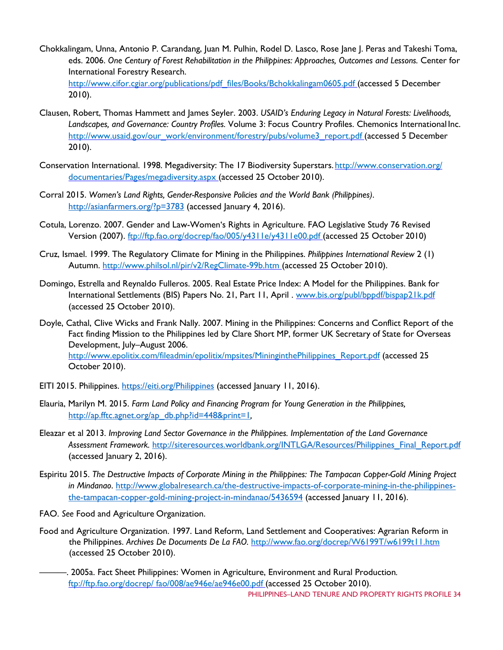- Chokkalingam, Unna, Antonio P. Carandang, Juan M. Pulhin, Rodel D. Lasco, Rose Jane J. Peras and Takeshi Toma, eds. 2006. *One Century of Forest Rehabilitation in the Philippines: Approaches, Outcomes and Lessons.* Center for International Forestry Research. [http://www.cifor.cgiar.org/publications/pdf\\_files/Books/Bchokkalingam0605.pdf \(](http://www.cifor.cgiar.org/publications/pdf_files/Books/Bchokkalingam0605.pdf)accessed 5 December 2010).
- Clausen, Robert, Thomas Hammett and James Seyler. 2003. *USAID's Enduring Legacy in Natural Forests: Livelihoods, Landscapes, and Governance: Country Profiles.* Volume 3: Focus Country Profiles. Chemonics International Inc. [http://www.usaid.gov/our\\_work/environment/forestry/pubs/volume3\\_report.pdf](http://www.usaid.gov/our_work/environment/forestry/pubs/volume3_report.pdf) (accessed 5 December 2010).
- Conservation International. 1998. Megadiversity: The 17 Biodiversity Superstars. http://www.conservation.org/ [documentaries/Pages/megadiversity.aspx \(](http://www.conservation.org/documentaries/Pages/megadiversity.aspx)accessed 25 October 2010).
- Corral 2015. *Women's Land Rights, Gender-Responsive Policies and the World Bank (Philippines)*. <http://asianfarmers.org/?p=3783> (accessed January 4, 2016).
- Cotula, Lorenzo. 2007. Gender and Law-Women's Rights in Agriculture. FAO Legislative Study 76 Revised Version (2007). [ftp://ftp.fao.org/docrep/fao/005/y4311e/y4311e00.pdf \(](ftp://ftp.fao.org/docrep/fao/005/y4311e/y4311e00.pdf)accessed 25 October 2010)
- Cruz, Ismael. 1999. The Regulatory Climate for Mining in the Philippines. *Philippines International Review* 2 (1) Autumn.<http://www.philsol.nl/pir/v2/RegClimate-99b.htm> (accessed 25 October 2010).
- Domingo, Estrella and Reynaldo Fulleros. 2005. Real Estate Price Index: A Model for the Philippines. Bank for International Settlements (BIS) Papers No. 21, Part 11, April . [www.bis.org/publ/bppdf/bispap21k.pdf](http://www.bis.org/publ/bppdf/bispap21k.pdf) (accessed 25 October 2010).
- Doyle, Cathal, Clive Wicks and Frank Nally. 2007. Mining in the Philippines: Concerns and Conflict Report of the Fact finding Mission to the Philippines led by Clare Short MP, former UK Secretary of State for Overseas Development, July–August 2006. [http://www.epolitix.com/fileadmin/epolitix/mpsites/MininginthePhilippines\\_Report.pdf](http://www.epolitix.com/fileadmin/epolitix/mpsites/MininginthePhilippines_Report.pdf) (accessed 25 October 2010).
- EITI 2015. Philippines.<https://eiti.org/Philippines> (accessed January 11, 2016).
- Elauria, Marilyn M. 2015. *Farm Land Policy and Financing Program for Young Generation in the Philippines,*  [http://ap.fftc.agnet.org/ap\\_db.php?id=448&print=1](http://ap.fftc.agnet.org/ap_db.php?id=448&print=1)*,*
- Eleazar et al 2013. *Improving Land Sector Governance in the Philippines. Implementation of the Land Governance Assessment Framework.* [http://siteresources.worldbank.org/INTLGA/Resources/Philippines\\_Final\\_Report.pdf](http://siteresources.worldbank.org/INTLGA/Resources/Philippines_Final_Report.pdf) (accessed January 2, 2016).
- Espiritu 2015. *The Destructive Impacts of Corporate Mining in the Philippines: The Tampacan Copper-Gold Mining Project in Mindanao*. [http://www.globalresearch.ca/the-destructive-impacts-of-corporate-mining-in-the-philippines](http://www.globalresearch.ca/the-destructive-impacts-of-corporate-mining-in-the-philippines-the-tampacan-copper-gold-mining-project-in-mindanao/5436594)[the-tampacan-copper-gold-mining-project-in-mindanao/5436594](http://www.globalresearch.ca/the-destructive-impacts-of-corporate-mining-in-the-philippines-the-tampacan-copper-gold-mining-project-in-mindanao/5436594) (accessed January 11, 2016).
- FAO. *See* Food and Agriculture Organization.
- Food and Agriculture Organization. 1997. Land Reform, Land Settlement and Cooperatives: Agrarian Reform in the Philippines. *Archives De Documents De La FAO.* <http://www.fao.org/docrep/W6199T/w6199t11.htm> (accessed 25 October 2010).
	- ———. 2005a. Fact Sheet Philippines: Women in Agriculture, Environment and Rural Production*.*  [ftp://ftp.fao.org/docrep/ fao/008/ae946e/ae946e00.pdf \(](ftp://ftp.fao.org/docrep/fao/008/ae946e/ae946e00.pdf)accessed 25 October 2010).

PHILIPPINES–LAND TENURE AND PROPERTY RIGHTS PROFILE 34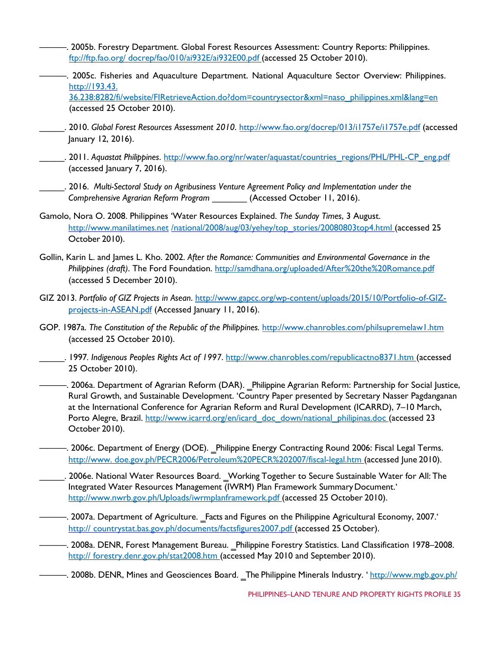- ———. 2005b. Forestry Department. Global Forest Resources Assessment: Country Reports: Philippines. [ftp://ftp.fao.org/ docrep/fao/010/ai932E/ai932E00.pdf \(](ftp://ftp.fao.org/docrep/fao/010/ai932E/ai932E00.pdf)accessed 25 October 2010).
- ———. 2005c. Fisheries and Aquaculture Department. National Aquaculture Sector Overview: Philippines. http://193.43.

36.238:8282/fi/website/FIRetrieveAction.do?dom=countrysector&xml=naso\_philippines.xml&lang=en (accessed 25 October 2010).

- \_\_\_\_\_. 2010. *Global Forest Resources Assessment 2010*.<http://www.fao.org/docrep/013/i1757e/i1757e.pdf> (accessed January 12, 2016).
- \_\_\_\_\_. 2011. *Aquastat Philippines*. [http://www.fao.org/nr/water/aquastat/countries\\_regions/PHL/PHL-CP\\_eng.pdf](http://www.fao.org/nr/water/aquastat/countries_regions/PHL/PHL-CP_eng.pdf) (accessed January 7, 2016).
	- \_\_\_\_\_. 2016. *Multi-Sectoral Study on Agribusiness Venture Agreement Policy and Implementation under the Comprehensive Agrarian Reform Program* \_\_\_\_\_\_\_ (Accessed October 11, 2016).
- Gamolo, Nora O. 2008. Philippines 'Water Resources Explained. *The Sunday Times*, 3 August. [http://www.manilatimes.net](http://www.manilatimes.net/national/2008/aug/03/yehey/top_stories/20080803top4.html) [/national/2008/aug/03/yehey/top\\_stories/20080803top4.html \(](http://www.manilatimes.net/national/2008/aug/03/yehey/top_stories/20080803top4.html)accessed 25 October 2010).
- Gollin, Karin L. and James L. Kho. 2002. *After the Romance: Communities and Environmental Governance in the Philippines (draft)*. The Ford Foundation.<http://samdhana.org/uploaded/After%20the%20Romance.pdf> (accessed 5 December 2010).
- GIZ 2013. *Portfolio of GIZ Projects in Asean*. [http://www.gapcc.org/wp-content/uploads/2015/10/Portfolio-of-GIZ](http://www.gapcc.org/wp-content/uploads/2015/10/Portfolio-of-GIZ-projects-in-ASEAN.pdf)[projects-in-ASEAN.pdf](http://www.gapcc.org/wp-content/uploads/2015/10/Portfolio-of-GIZ-projects-in-ASEAN.pdf) (Accessed January 11, 2016).
- GOP. 1987a. The Constitution of the Republic of the Philippines. <http://www.chanrobles.com/philsupremelaw1.htm> (accessed 25 October 2010).
- \_\_\_\_\_. 1997*. Indigenous Peoples Rights Act of 1997*.<http://www.chanrobles.com/republicactno8371.htm> (accessed 25 October 2010).
- ——. 2006a. Department of Agrarian Reform (DAR). \_Philippine Agrarian Reform: Partnership for Social Justice, Rural Growth, and Sustainable Development. 'Country Paper presented by Secretary Nasser Pagdanganan at the International Conference for Agrarian Reform and Rural Development (ICARRD), 7–10 March, Porto Alegre, Brazil. [http://www.icarrd.org/en/icard\\_doc\\_down/national\\_philipinas.doc](http://www.icarrd.org/en/icard_doc_down/national_philipinas.doc) (accessed 23 October 2010).
- —. 2006c. Department of Energy (DOE). Philippine Energy Contracting Round 2006: Fiscal Legal Terms. [http://www. doe.gov.ph/PECR2006/Petroleum%20PECR%202007/fiscal-legal.htm \(](http://www.doe.gov.ph/PECR2006/Petroleum%20PECR%202007/fiscal-legal.htm)accessed June 2010).
- \_\_\_\_\_. 2006e. National Water Resources Board. ‗Working Together to Secure Sustainable Water for All: The Integrated Water Resources Management (IWRM) Plan Framework Summary Document.' [http://www.nwrb.gov.ph/Uploads/iwrmplanframework.pdf \(](http://www.nwrb.gov.ph/Uploads/iwrmplanframework.pdf)accessed 25 October 2010).
- ——. 2007a. Department of Agriculture. Facts and Figures on the Philippine Agricultural Economy, 2007. [http:// countrystat.bas.gov.ph/documents/factsfigures2007.pdf \(](http://countrystat.bas.gov.ph/documents/factsfigures2007.pdf)accessed 25 October).
- ———. 2008a. DENR, Forest Management Bureau. ‗Philippine Forestry Statistics. Land Classification 1978–2008. [http:// forestry.denr.gov.ph/stat2008.htm \(](http://forestry.denr.gov.ph/stat2008.htm)accessed May 2010 and September 2010).
- ———. 2008b. DENR, Mines and Geosciences Board. The Philippine Minerals Industry. ' [http://www.mgb.gov.ph/](http://www.mgb.gov.ph/presentations/presentationsframe.htm)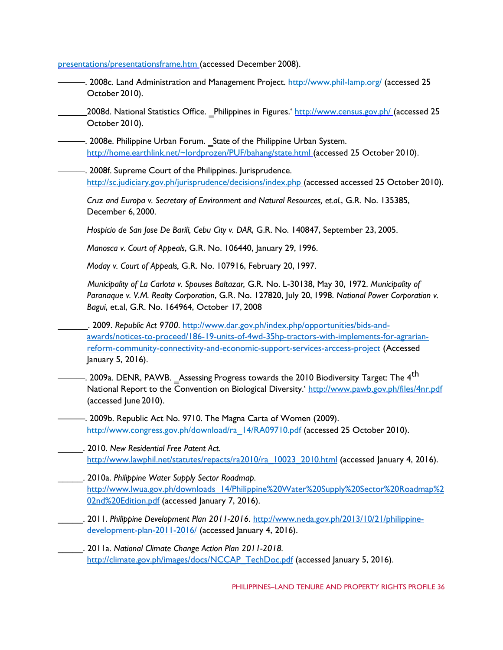presentations/presentationsframe.htm (accessed December 2008).

———. 2008c. Land Administration and Management Project. [http://www.phil-lamp.org/ \(](http://www.phil-lamp.org/)accessed 25 October 2010).

2008d. National Statistics Office. Philippines in Figures.'<http://www.census.gov.ph/> (accessed 25 October 2010).

-. 2008e. Philippine Urban Forum. State of the Philippine Urban System. [http://home.earthlink.net/~lordprozen/PUF/bahang/state.html \(](http://home.earthlink.net/%7Elordprozen/PUF/bahang/state.html)accessed 25 October 2010).

-. 2008f. Supreme Court of the Philippines. Jurisprudence. [http://sc.judiciary.gov.ph/jurisprudence/decisions/index.php \(](http://sc.judiciary.gov.ph/jurisprudence/decisions/index.php)accessed accessed 25 October 2010).

*Cruz and Europa v. Secretary of Environment and Natural Resources, et.al.*, G.R. No. 135385, December 6, 2000.

*Hospicio de San Jose De Barili, Cebu City v. DAR*, G.R. No. 140847, September 23, 2005.

*Manosca v. Court of Appeals*, G.R. No. 106440, January 29, 1996.

*Moday v. Court of Appeals,* G.R. No. 107916, February 20, 1997.

*Municipality of La Carlota v. Spouses Baltazar,* G.R. No. L-30138, May 30, 1972. *Municipality of Paranaque v. V.M. Realty Corporation*, G.R. No. 127820, July 20, 1998. *National Power Corporation v. Bagui*, et.al, G.R. No. 164964, October 17, 2008

\_\_\_\_\_\_. 2009. *Republic Act 9700*. [http://www.dar.gov.ph/index.php/opportunities/bids-and](http://www.dar.gov.ph/index.php/opportunities/bids-and-awards/notices-to-proceed/186-19-units-of-4wd-35hp-tractors-with-implements-for-agrarian-reform-community-connectivity-and-economic-support-services-arccess-project)[awards/notices-to-proceed/186-19-units-of-4wd-35hp-tractors-with-implements-for-agrarian](http://www.dar.gov.ph/index.php/opportunities/bids-and-awards/notices-to-proceed/186-19-units-of-4wd-35hp-tractors-with-implements-for-agrarian-reform-community-connectivity-and-economic-support-services-arccess-project)[reform-community-connectivity-and-economic-support-services-arccess-project](http://www.dar.gov.ph/index.php/opportunities/bids-and-awards/notices-to-proceed/186-19-units-of-4wd-35hp-tractors-with-implements-for-agrarian-reform-community-connectivity-and-economic-support-services-arccess-project) (Accessed January 5, 2016).

-. 2009a. DENR, PAWB. \_Assessing Progress towards the 2010 Biodiversity Target: The 4<sup>th</sup> National Report to the Convention on Biological Diversity.'<http://www.pawb.gov.ph/files/4nr.pdf> (accessed June 2010).

-. 2009b. Republic Act No. 9710. The Magna Carta of Women (2009). [http://www.congress.gov.ph/download/ra\\_14/RA09710.pdf \(](http://www.congress.gov.ph/download/ra_14/RA09710.pdf)accessed 25 October 2010).

\_\_\_\_\_. 2010. *New Residential Free Patent Act*. [http://www.lawphil.net/statutes/repacts/ra2010/ra\\_10023\\_2010.html](http://www.lawphil.net/statutes/repacts/ra2010/ra_10023_2010.html) (accessed January 4, 2016).

- \_\_\_\_\_. 2010a. *Philippine Water Supply Sector Roadmap*. [http://www.lwua.gov.ph/downloads\\_14/Philippine%20Water%20Supply%20Sector%20Roadmap%2](http://www.lwua.gov.ph/downloads_14/Philippine%20Water%20Supply%20Sector%20Roadmap%202nd%20Edition.pdf) [02nd%20Edition.pdf](http://www.lwua.gov.ph/downloads_14/Philippine%20Water%20Supply%20Sector%20Roadmap%202nd%20Edition.pdf) (accessed January 7, 2016).
	- \_\_\_\_\_. 2011. *Philippine Development Plan 2011-2016*. [http://www.neda.gov.ph/2013/10/21/philippine](http://www.neda.gov.ph/2013/10/21/philippine-development-plan-2011-2016/)[development-plan-2011-2016/](http://www.neda.gov.ph/2013/10/21/philippine-development-plan-2011-2016/) (accessed January 4, 2016).

\_\_\_\_\_. 2011a. *National Climate Change Action Plan 2011-2018.* [http://climate.gov.ph/images/docs/NCCAP\\_TechDoc.pdf](http://climate.gov.ph/images/docs/NCCAP_TechDoc.pdf) (accessed January 5, 2016).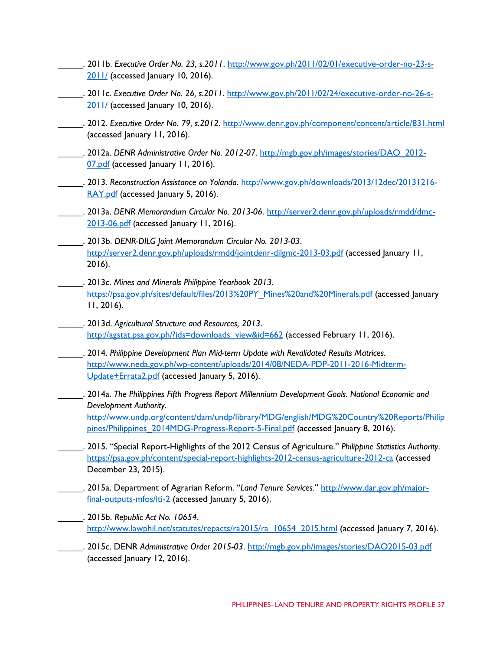- \_\_\_\_\_. 2011b. *Executive Order No. 23, s.2011*. [http://www.gov.ph/2011/02/01/executive-order-no-23-s-](http://www.gov.ph/2011/02/01/executive-order-no-23-s-2011/)[2011/](http://www.gov.ph/2011/02/01/executive-order-no-23-s-2011/) (accessed January 10, 2016).
- \_\_\_\_\_. 2011c. *Executive Order No. 26, s.2011*. [http://www.gov.ph/2011/02/24/executive-order-no-26-s-](http://www.gov.ph/2011/02/24/executive-order-no-26-s-2011/)[2011/](http://www.gov.ph/2011/02/24/executive-order-no-26-s-2011/) (accessed January 10, 2016).
- \_\_\_\_\_. 2012. *Executive Order No. 79, s.2012*.<http://www.denr.gov.ph/component/content/article/831.html> (accessed January 11, 2016).
- \_\_\_\_\_. 2012a. *DENR Administrative Order No. 2012-07*. [http://mgb.gov.ph/images/stories/DAO\\_2012-](http://mgb.gov.ph/images/stories/DAO_2012-07.pdf) [07.pdf](http://mgb.gov.ph/images/stories/DAO_2012-07.pdf) (accessed January 11, 2016).
- \_\_\_\_\_. 2013. *Reconstruction Assistance on Yolanda*. [http://www.gov.ph/downloads/2013/12dec/20131216-](http://www.gov.ph/downloads/2013/12dec/20131216-RAY.pdf) [RAY.pdf](http://www.gov.ph/downloads/2013/12dec/20131216-RAY.pdf) (accessed January 5, 2016).
- \_\_\_\_\_. 2013a. *DENR Memorandum Circular No. 2013-06*. [http://server2.denr.gov.ph/uploads/rmdd/dmc-](http://server2.denr.gov.ph/uploads/rmdd/dmc-2013-06.pdf)[2013-06.pdf](http://server2.denr.gov.ph/uploads/rmdd/dmc-2013-06.pdf) (accessed January 11, 2016).
- \_\_\_\_\_. 2013b. *DENR-DILG Joint Memorandum Circular No. 2013-03*. <http://server2.denr.gov.ph/uploads/rmdd/jointdenr-dilgmc-2013-03.pdf> (accessed January 11, 2016).
- \_\_\_\_\_. 2013c. *Mines and Minerals Philippine Yearbook 2013*. [https://psa.gov.ph/sites/default/files/2013%20PY\\_Mines%20and%20Minerals.pdf](https://psa.gov.ph/sites/default/files/2013%20PY_Mines%20and%20Minerals.pdf) (accessed January 11, 2016).
- \_\_\_\_\_. 2013d. *Agricultural Structure and Resources, 2013*. [http://agstat.psa.gov.ph/?ids=downloads\\_view&id=662](http://agstat.psa.gov.ph/?ids=downloads_view&id=662) (accessed February 11, 2016).
- \_\_\_\_\_. 2014. *Philippine Development Plan Mid-term Update with Revalidated Results Matrices*. [http://www.neda.gov.ph/wp-content/uploads/2014/08/NEDA-PDP-2011-2016-Midterm-](http://www.neda.gov.ph/wp-content/uploads/2014/08/NEDA-PDP-2011-2016-Midterm-Update+Errata2.pdf)[Update+Errata2.pdf](http://www.neda.gov.ph/wp-content/uploads/2014/08/NEDA-PDP-2011-2016-Midterm-Update+Errata2.pdf) (accessed January 5, 2016).
- \_\_\_\_\_. 2014a. *The Philippines Fifth Progress Report Millennium Development Goals. National Economic and Development Authority*. [http://www.undp.org/content/dam/undp/library/MDG/english/MDG%20Country%20Reports/Philip](http://www.undp.org/content/dam/undp/library/MDG/english/MDG%20Country%20Reports/Philippines/Philippines_2014MDG-Progress-Report-5-Final.pdf) [pines/Philippines\\_2014MDG-Progress-Report-5-Final.pdf](http://www.undp.org/content/dam/undp/library/MDG/english/MDG%20Country%20Reports/Philippines/Philippines_2014MDG-Progress-Report-5-Final.pdf) (accessed January 8, 2016).
- \_\_\_\_\_. 2015. "Special Report-Highlights of the 2012 Census of Agriculture." *Philippine Statistics Authority*. <https://psa.gov.ph/content/special-report-highlights-2012-census-agriculture-2012-ca> (accessed December 23, 2015).
- \_\_\_\_\_. 2015a. Department of Agrarian Reform. "*Land Tenure Services.*" [http://www.dar.gov.ph/major](http://www.dar.gov.ph/major-final-outputs-mfos/lti-2)[final-outputs-mfos/lti-2](http://www.dar.gov.ph/major-final-outputs-mfos/lti-2) (accessed January 5, 2016).
- \_\_\_\_\_. 2015b. *Republic Act No. 10654*. http://www.lawphil.net/statutes/repacts/ra2015/ra 10654 2015.html (accessed January 7, 2016).
- \_\_\_\_\_. 2015c. DENR *Administrative Order 2015-03*.<http://mgb.gov.ph/images/stories/DAO2015-03.pdf> (accessed January 12, 2016).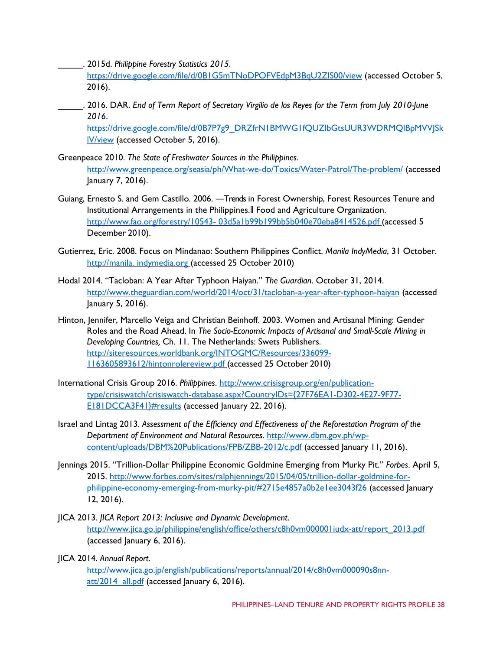\_\_\_\_\_. 2015d. *Philippine Forestry Statistics 2015*.

<https://drive.google.com/file/d/0B1G5mTNoDPOFVEdpM3BqU2ZlS00/view> (accessed October 5, 2016).

\_\_\_\_\_. 2016. DAR. *End of Term Report of Secretary Virgilio de los Reyes for the Term from July 2010-June 2016*.

[https://drive.google.com/file/d/0B7P7g9\\_DRZfrN1BMWG1fQUZlbGtsUUR3WDRMQlBpMVVJSk](https://drive.google.com/file/d/0B7P7g9_DRZfrN1BMWG1fQUZlbGtsUUR3WDRMQlBpMVVJSklV/view) [lV/view](https://drive.google.com/file/d/0B7P7g9_DRZfrN1BMWG1fQUZlbGtsUUR3WDRMQlBpMVVJSklV/view) (accessed October 5, 2016).

- Greenpeace 2010. *The State of Freshwater Sources in the Philippines*. <http://www.greenpeace.org/seasia/ph/What-we-do/Toxics/Water-Patrol/The-problem/> (accessed January 7, 2016).
- Guiang, Ernesto S. and Gem Castillo. 2006. ―Trends in Forest Ownership, Forest Resources Tenure and Institutional Arrangements in the Philippines.‖ Food and Agriculture Organization. [http://www.fao.org/forestry/10543-](http://www.fao.org/forestry/10543-03d5a1b99b199bb5b040e70eba8414526.pdf) [03d5a1b99b199bb5b040e70eba8414526.pdf \(](http://www.fao.org/forestry/10543-03d5a1b99b199bb5b040e70eba8414526.pdf)accessed 5 December 2010).
- Gutierrez, Eric. 2008. Focus on Mindanao: Southern Philippines Conflict. *Manila IndyMedia*, 31 October. [http://manila. indymedia.org \(](http://manila.indymedia.org/)accessed 25 October 2010)
- Hodal 2014. "Tacloban: A Year After Typhoon Haiyan." *The Guardian*. October 31, 2014. <http://www.theguardian.com/world/2014/oct/31/tacloban-a-year-after-typhoon-haiyan> (accessed January 5, 2016).
- Hinton, Jennifer, Marcello Veiga and Christian Beinhoff. 2003. Women and Artisanal Mining: Gender Roles and the Road Ahead. In *The Socio-Economic Impacts of Artisanal and Small-Scale Mining in Developing Countries,* Ch. 11. The Netherlands: Swets Publishers. [http://siteresources.worldbank.org/INTOGMC/Resources/336099-](http://siteresources.worldbank.org/INTOGMC/Resources/336099-1163605893612/hintonrolereview.pdf) [1163605893612/hintonrolereview.pdf \(](http://siteresources.worldbank.org/INTOGMC/Resources/336099-1163605893612/hintonrolereview.pdf)accessed 25 October 2010)
- International Crisis Group 2016. *Philippines*. [http://www.crisisgroup.org/en/publication](http://www.crisisgroup.org/en/publication-type/crisiswatch/crisiswatch-database.aspx?CountryIDs=%7b27F76EA1-D302-4E27-9F77-E181DCCA3F41%7d#results)[type/crisiswatch/crisiswatch-database.aspx?CountryIDs={27F76EA1-D302-4E27-9F77-](http://www.crisisgroup.org/en/publication-type/crisiswatch/crisiswatch-database.aspx?CountryIDs=%7b27F76EA1-D302-4E27-9F77-E181DCCA3F41%7d#results) [E181DCCA3F41}#results](http://www.crisisgroup.org/en/publication-type/crisiswatch/crisiswatch-database.aspx?CountryIDs=%7b27F76EA1-D302-4E27-9F77-E181DCCA3F41%7d#results) (accessed January 22, 2016).
- Israel and Lintag 2013. *Assessment of the Efficiency and Effectiveness of the Reforestation Program of the Department of Environment and Natural Resources*. [http://www.dbm.gov.ph/wp](http://www.dbm.gov.ph/wp-content/uploads/DBM%20Publications/FPB/ZBB-2012/c.pdf)[content/uploads/DBM%20Publications/FPB/ZBB-2012/c.pdf](http://www.dbm.gov.ph/wp-content/uploads/DBM%20Publications/FPB/ZBB-2012/c.pdf) (accessed January 11, 2016).
- Jennings 2015. "Trillion-Dollar Philippine Economic Goldmine Emerging from Murky Pit." *Forbes*. April 5, 2015. [http://www.forbes.com/sites/ralphjennings/2015/04/05/trillion-dollar-goldmine-for](http://www.forbes.com/sites/ralphjennings/2015/04/05/trillion-dollar-goldmine-for-philippine-economy-emerging-from-murky-pit/#2715e4857a0b2e1ee3043f26)[philippine-economy-emerging-from-murky-pit/#2715e4857a0b2e1ee3043f26](http://www.forbes.com/sites/ralphjennings/2015/04/05/trillion-dollar-goldmine-for-philippine-economy-emerging-from-murky-pit/#2715e4857a0b2e1ee3043f26) (accessed January 12, 2016).
- JICA 2013. *JICA Report 2013: Inclusive and Dynamic Development*. [http://www.jica.go.jp/philippine/english/office/others/c8h0vm000001iudx-att/report\\_2013.pdf](http://www.jica.go.jp/philippine/english/office/others/c8h0vm000001iudx-att/report_2013.pdf) (accessed January 6, 2016).
- JICA 2014. *Annual Report*.

[http://www.jica.go.jp/english/publications/reports/annual/2014/c8h0vm000090s8nn](http://www.jica.go.jp/english/publications/reports/annual/2014/c8h0vm000090s8nn-att/2014_all.pdf)[att/2014\\_all.pdf](http://www.jica.go.jp/english/publications/reports/annual/2014/c8h0vm000090s8nn-att/2014_all.pdf) (accessed January 6, 2016).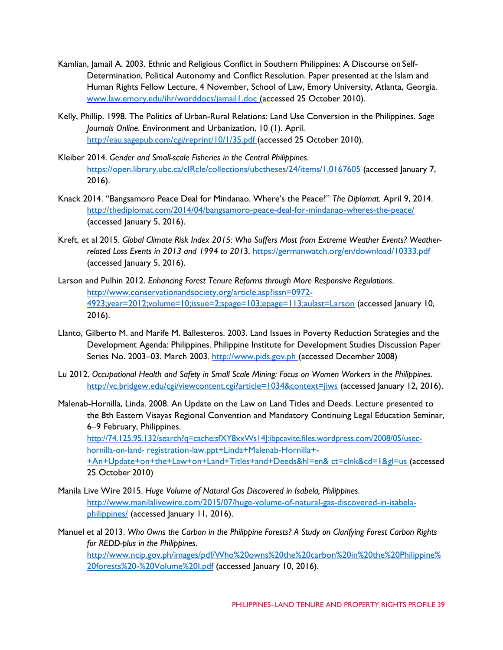- Kamlian, Jamail A. 2003. Ethnic and Religious Conflict in Southern Philippines: A Discourse on Self-Determination, Political Autonomy and Conflict Resolution. Paper presented at the Islam and Human Rights Fellow Lecture, 4 November, School of Law, Emory University, Atlanta, Georgia. [www.law.emory.edu/ihr/worddocs/jamail1.doc](http://www.law.emory.edu/ihr/worddocs/jamail1.doc) (accessed 25 October 2010).
- Kelly, Phillip. 1998. The Politics of Urban-Rural Relations: Land Use Conversion in the Philippines. *Sage Journals Online*. Environment and Urbanization, 10 (1). April. <http://eau.sagepub.com/cgi/reprint/10/1/35.pdf> (accessed 25 October 2010).
- Kleiber 2014. *Gender and Small-scale Fisheries in the Central Philippines*. https://open.library.ubc.ca/clRcle/collections/ubctheses/24/items/1.0167605 (accessed January 7, 2016).
- Knack 2014. "Bangsamoro Peace Deal for Mindanao. Where's the Peace?" *The Diplomat*. April 9, 2014. <http://thediplomat.com/2014/04/bangsamoro-peace-deal-for-mindanao-wheres-the-peace/> (accessed January 5, 2016).
- Kreft, et al 2015. *Global Climate Risk Index 2015: Who Suffers Most from Extreme Weather Events? Weatherrelated Loss Events in 2013 and 1994 to 201*3.<https://germanwatch.org/en/download/10333.pdf> (accessed January 5, 2016).
- Larson and Pulhin 2012. *Enhancing Forest Tenure Reforms through More Responsive Regulations*. [http://www.conservationandsociety.org/article.asp?issn=0972-](http://www.conservationandsociety.org/article.asp?issn=0972-4923;year=2012;volume=10;issue=2;spage=103;epage=113;aulast=Larson) [4923;year=2012;volume=10;issue=2;spage=103;epage=113;aulast=Larson](http://www.conservationandsociety.org/article.asp?issn=0972-4923;year=2012;volume=10;issue=2;spage=103;epage=113;aulast=Larson) (accessed January 10, 2016).
- Llanto, Gilberto M. and Marife M. Ballesteros. 2003. Land Issues in Poverty Reduction Strategies and the Development Agenda: Philippines. Philippine Institute for Development Studies Discussion Paper Series No. 2003–03. March 2003. [http://www.pids.gov.ph \(](http://www.pids.gov.ph/)accessed December 2008)
- Lu 2012. *Occupational Health and Safety in Small Scale Mining: Focus on Women Workers in the Philippines*. <http://vc.bridgew.edu/cgi/viewcontent.cgi?article=1034&context=jiws> (accessed January 12, 2016).
- Malenab-Hornilla, Linda. 2008. An Update on the Law on Land Titles and Deeds. Lecture presented to the 8th Eastern Visayas Regional Convention and Mandatory Continuing Legal Education Seminar, 6–9 February, Philippines. http://74.125.95.132/search?q=cache:sfXY8xxWs14J:ibpcavite.files.wordpress.com/2008/05/usechornilla-on-land- registration-law.ppt+Linda+Malenab-Hornilla+- +An+Update+on+the+Law+on+Land+Titles+and+Deeds&hl=en& ct=clnk&cd=1&gl=us (accessed 25 October 2010)
- Manila Live Wire 2015. *Huge Volume of Natural Gas Discovered in Isabela, Philippines*. [http://www.manilalivewire.com/2015/07/huge-volume-of-natural-gas-discovered-in-isabela](http://www.manilalivewire.com/2015/07/huge-volume-of-natural-gas-discovered-in-isabela-philippines/)[philippines/](http://www.manilalivewire.com/2015/07/huge-volume-of-natural-gas-discovered-in-isabela-philippines/) (accessed January 11, 2016).

Manuel et al 2013. *Who Owns the Carbon in the Philippine Forests? A Study on Clarifying Forest Carbon Rights for REDD-plus in the Philippines*. [http://www.ncip.gov.ph/images/pdf/Who%20owns%20the%20carbon%20in%20the%20Philippine%](http://www.ncip.gov.ph/images/pdf/Who%20owns%20the%20carbon%20in%20the%20Philippine%20forests%20-%20Volume%20I.pdf) [20forests%20-%20Volume%20I.pdf](http://www.ncip.gov.ph/images/pdf/Who%20owns%20the%20carbon%20in%20the%20Philippine%20forests%20-%20Volume%20I.pdf) (accessed January 10, 2016).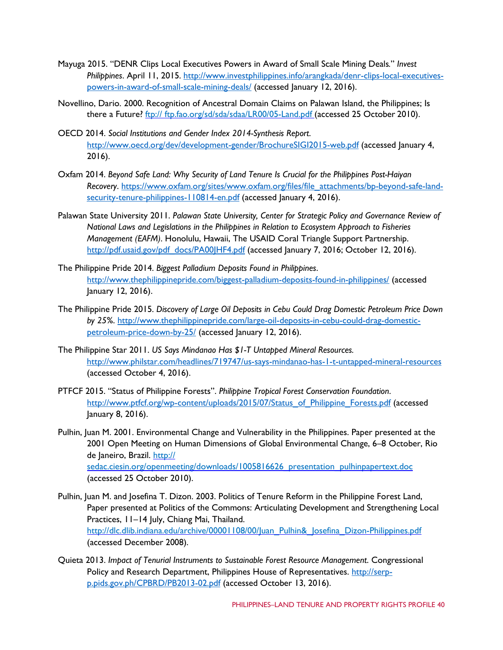- Mayuga 2015. "DENR Clips Local Executives Powers in Award of Small Scale Mining Deals*.*" *Invest Philippines*. April 11, 2015. [http://www.investphilippines.info/arangkada/denr-clips-local-executives](http://www.investphilippines.info/arangkada/denr-clips-local-executives-powers-in-award-of-small-scale-mining-deals/)[powers-in-award-of-small-scale-mining-deals/](http://www.investphilippines.info/arangkada/denr-clips-local-executives-powers-in-award-of-small-scale-mining-deals/) (accessed January 12, 2016).
- Novellino, Dario. 2000. Recognition of Ancestral Domain Claims on Palawan Island, the Philippines; Is there a Future? [ftp:// ftp.fao.org/sd/sda/sdaa/LR00/05-Land.pdf \(](ftp://ftp.fao.org/sd/sda/sdaa/LR00/05-Land.pdf)accessed 25 October 2010).
- OECD 2014. *Social Institutions and Gender Index 2014-Synthesis Report*. <http://www.oecd.org/dev/development-gender/BrochureSIGI2015-web.pdf> (accessed January 4, 2016).
- Oxfam 2014. *Beyond Safe Land: Why Security of Land Tenure Is Crucial for the Philippines Post-Haiyan Recovery*. [https://www.oxfam.org/sites/www.oxfam.org/files/file\\_attachments/bp-beyond-safe-land](https://www.oxfam.org/sites/www.oxfam.org/files/file_attachments/bp-beyond-safe-land-security-tenure-philippines-110814-en.pdf)[security-tenure-philippines-110814-en.pdf](https://www.oxfam.org/sites/www.oxfam.org/files/file_attachments/bp-beyond-safe-land-security-tenure-philippines-110814-en.pdf) (accessed January 4, 2016).
- Palawan State University 2011. *Palawan State University, Center for Strategic Policy and Governance Review of National Laws and Legislations in the Philippines in Relation to Ecosystem Approach to Fisheries Management (EAFM)*. Honolulu, Hawaii, The USAID Coral Triangle Support Partnership. [http://pdf.usaid.gov/pdf\\_docs/PA00JHF4.pdf](http://pdf.usaid.gov/pdf_docs/PA00JHF4.pdf) (accessed January 7, 2016; October 12, 2016).
- The Philippine Pride 2014. *Biggest Palladium Deposits Found in Philippines*. <http://www.thephilippinepride.com/biggest-palladium-deposits-found-in-philippines/> (accessed January 12, 2016).
- The Philippine Pride 2015. *Discovery of Large Oil Deposits in Cebu Could Drag Domestic Petroleum Price Down by 25%*. [http://www.thephilippinepride.com/large-oil-deposits-in-cebu-could-drag-domestic](http://www.thephilippinepride.com/large-oil-deposits-in-cebu-could-drag-domestic-petroleum-price-down-by-25/)[petroleum-price-down-by-25/](http://www.thephilippinepride.com/large-oil-deposits-in-cebu-could-drag-domestic-petroleum-price-down-by-25/) (accessed January 12, 2016).
- The Philippine Star 2011. *US Says Mindanao Has \$1-T Untapped Mineral Resources.* <http://www.philstar.com/headlines/719747/us-says-mindanao-has-1-t-untapped-mineral-resources> (accessed October 4, 2016).
- PTFCF 2015. "Status of Philippine Forests". *Philippine Tropical Forest Conservation Foundation*. [http://www.ptfcf.org/wp-content/uploads/2015/07/Status\\_of\\_Philippine\\_Forests.pdf](http://www.ptfcf.org/wp-content/uploads/2015/07/Status_of_Philippine_Forests.pdf) (accessed January 8, 2016).
- Pulhin, Juan M. 2001. Environmental Change and Vulnerability in the Philippines. Paper presented at the 2001 Open Meeting on Human Dimensions of Global Environmental Change, 6–8 October, Rio de Janeiro, Brazil. http:// sedac.ciesin.org/openmeeting/downloads/1005816626 presentation pulhinpapertext.doc (accessed 25 October 2010).
- Pulhin, Juan M. and Josefina T. Dizon. 2003. Politics of Tenure Reform in the Philippine Forest Land, Paper presented at Politics of the Commons: Articulating Development and Strengthening Local Practices, 11–14 July, Chiang Mai, Thailand. [http://dlc.dlib.indiana.edu/archive/00001108/00/Juan\\_Pulhin&\\_Josefina\\_Dizon-Philippines.pdf](http://dlc.dlib.indiana.edu/archive/00001108/00/Juan_Pulhin%26_Josefina_Dizon-Philippines.pdf) (accessed December 2008).
- Quieta 2013. *Impact of Tenurial Instruments to Sustainable Forest Resource Management*. Congressional Policy and Research Department, Philippines House of Representatives. [http://serp](http://serp-p.pids.gov.ph/CPBRD/PB2013-02.pdf)[p.pids.gov.ph/CPBRD/PB2013-02.pdf](http://serp-p.pids.gov.ph/CPBRD/PB2013-02.pdf) (accessed October 13, 2016).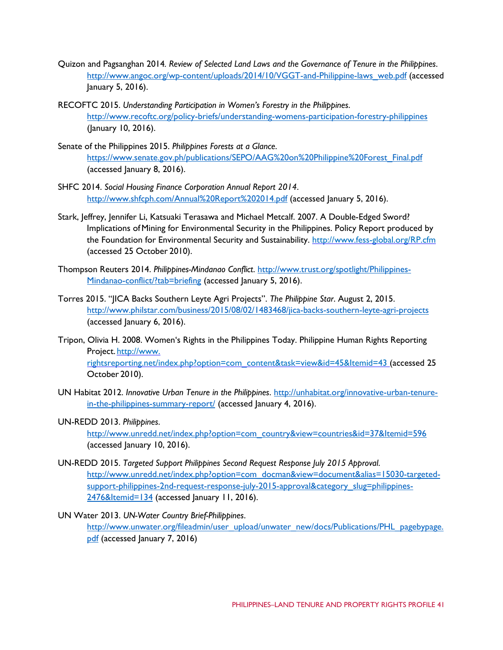- Quizon and Pagsanghan 2014*. Review of Selected Land Laws and the Governance of Tenure in the Philippines*. [http://www.angoc.org/wp-content/uploads/2014/10/VGGT-and-Philippine-laws\\_web.pdf](http://www.angoc.org/wp-content/uploads/2014/10/VGGT-and-Philippine-laws_web.pdf) (accessed January 5, 2016).
- RECOFTC 2015. *Understanding Participation in Women's Forestry in the Philippines*. <http://www.recoftc.org/policy-briefs/understanding-womens-participation-forestry-philippines> (January 10, 2016).
- Senate of the Philippines 2015. *Philippines Forests at a Glance*. [https://www.senate.gov.ph/publications/SEPO/AAG%20on%20Philippine%20Forest\\_Final.pdf](https://www.senate.gov.ph/publications/SEPO/AAG%20on%20Philippine%20Forest_Final.pdf) (accessed January 8, 2016).
- SHFC 2014. *Social Housing Finance Corporation Annual Report 2014*. <http://www.shfcph.com/Annual%20Report%202014.pdf> (accessed January 5, 2016).
- Stark, Jeffrey, Jennifer Li, Katsuaki Terasawa and Michael Metcalf. 2007. A Double-Edged Sword? Implications ofMining for Environmental Security in the Philippines. Policy Report produced by the Foundation for Environmental Security and Sustainability. http://www.fess-global.org/RP.cfm (accessed 25 October 2010).
- Thompson Reuters 2014. *Philippines-Mindanao Conflict*. [http://www.trust.org/spotlight/Philippines-](http://www.trust.org/spotlight/Philippines-Mindanao-conflict/?tab=briefing)[Mindanao-conflict/?tab=briefing](http://www.trust.org/spotlight/Philippines-Mindanao-conflict/?tab=briefing) (accessed January 5, 2016).
- Torres 2015. "JICA Backs Southern Leyte Agri Projects". *The Philippine Star*. August 2, 2015. <http://www.philstar.com/business/2015/08/02/1483468/jica-backs-southern-leyte-agri-projects> (accessed January 6, 2016).
- Tripon, Olivia H. 2008. Women's Rights in the Philippines Today. Philippine Human Rights Reporting Project. http://www. [rightsreporting.net/index.php?option=com\\_content&task=view&id=45&Itemid=43 \(](http://www.rightsreporting.net/index.php?option=com_content&task=view&id=45&Itemid=43)accessed 25 October 2010).
- UN Habitat 2012. *Innovative Urban Tenure in the Philippines*. [http://unhabitat.org/innovative-urban-tenure](http://unhabitat.org/innovative-urban-tenure-in-the-philippines-summary-report/)[in-the-philippines-summary-report/](http://unhabitat.org/innovative-urban-tenure-in-the-philippines-summary-report/) (accessed January 4, 2016).
- UN-REDD 2013. *Philippines*.

[http://www.unredd.net/index.php?option=com\\_country&view=countries&id=37&Itemid=596](http://www.unredd.net/index.php?option=com_country&view=countries&id=37&Itemid=596) (accessed January 10, 2016).

- UN-REDD 2015. *Targeted Support Philippines Second Request Response July 2015 Approval*. [http://www.unredd.net/index.php?option=com\\_docman&view=document&alias=15030-targeted](http://www.unredd.net/index.php?option=com_docman&view=document&alias=15030-targeted-support-philippines-2nd-request-response-july-2015-approval&category_slug=philippines-2476&Itemid=134)[support-philippines-2nd-request-response-july-2015-approval&category\\_slug=philippines-](http://www.unredd.net/index.php?option=com_docman&view=document&alias=15030-targeted-support-philippines-2nd-request-response-july-2015-approval&category_slug=philippines-2476&Itemid=134)[2476&Itemid=134](http://www.unredd.net/index.php?option=com_docman&view=document&alias=15030-targeted-support-philippines-2nd-request-response-july-2015-approval&category_slug=philippines-2476&Itemid=134) (accessed January 11, 2016).
- UN Water 2013. *UN-Water Country Brief-Philippines*. [http://www.unwater.org/fileadmin/user\\_upload/unwater\\_new/docs/Publications/PHL\\_pagebypage.](http://www.unwater.org/fileadmin/user_upload/unwater_new/docs/Publications/PHL_pagebypage.pdf) [pdf](http://www.unwater.org/fileadmin/user_upload/unwater_new/docs/Publications/PHL_pagebypage.pdf) (accessed January 7, 2016)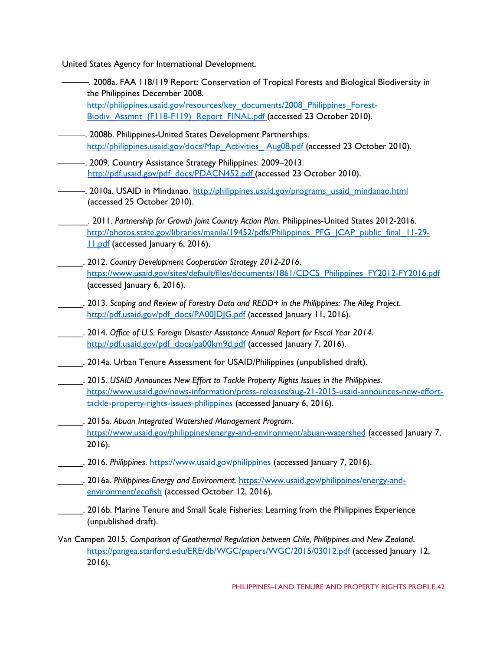United States Agency for International Development.

- ———. 2008a. FAA 118/119 Report: Conservation of Tropical Forests and Biological Biodiversity in the Philippines December 2008. [http://philippines.usaid.gov/resources/key\\_documents/2008\\_Philippines\\_Forest-](http://philippines.usaid.gov/resources/key_documents/2008_Philippines_Forest-Biodiv_Assmnt_(F118-F119)_Report_FINAL.pdf)[Biodiv\\_Assmnt\\_\(F118-F119\)\\_Report\\_FINAL.pdf \(](http://philippines.usaid.gov/resources/key_documents/2008_Philippines_Forest-Biodiv_Assmnt_(F118-F119)_Report_FINAL.pdf)accessed 23 October 2010).
- -. 2008b. Philippines-United States Development Partnerships. [http://philippines.usaid.gov/docs/Map\\_Activities\\_ Aug08.pdf \(](http://philippines.usaid.gov/docs/Map_Activities_Aug08.pdf)accessed 23 October 2010).
- ———. 2009. Country Assistance Strategy Philippines: 2009–2013. [http://pdf.usaid.gov/pdf\\_docs/PDACN452.pdf](http://pdf.usaid.gov/pdf_docs/PDACN452.pdf) (accessed 23 October 2010).
- 2010a. USAID in Mindanao. http://philippines.usaid.gov/programs\_usaid\_mindanao.html (accessed 25 October 2010).
- \_\_\_\_\_\_. 2011. *Partnership for Growth Joint Country Action Plan*. Philippines-United States 2012-2016. [http://photos.state.gov/libraries/manila/19452/pdfs/Philippines\\_PFG\\_JCAP\\_public\\_final\\_11-29-](http://photos.state.gov/libraries/manila/19452/pdfs/Philippines_PFG_JCAP_public_final_11-29-11.pdf) [11.pdf](http://photos.state.gov/libraries/manila/19452/pdfs/Philippines_PFG_JCAP_public_final_11-29-11.pdf) (accessed January 6, 2016).
- \_\_\_\_\_. 2012. *Country Development Cooperation Strategy 2012-2016*. [https://www.usaid.gov/sites/default/files/documents/1861/CDCS\\_Philippines\\_FY2012-FY2016.pdf](https://www.usaid.gov/sites/default/files/documents/1861/CDCS_Philippines_FY2012-FY2016.pdf) (accessed January 6, 2016).
- \_\_\_\_\_. 2013. *Scoping and Review of Forestry Data and REDD+ in the Philippines: The Aileg Project*. http://pdf.usaid.gov/pdf\_docs/PA00|DJG.pdf (accessed January 11, 2016).
- \_\_\_\_\_. 2014. *Office of U.S. Foreign Disaster Assistance Annual Report for Fiscal Year 2014*. [http://pdf.usaid.gov/pdf\\_docs/pa00km9d.pdf](http://pdf.usaid.gov/pdf_docs/pa00km9d.pdf) (accessed January 7, 2016).
	- \_\_\_\_\_. 2014a. Urban Tenure Assessment for USAID/Philippines (unpublished draft).
- \_\_\_\_\_. 2015. *USAID Announces New Effort to Tackle Property Rights Issues in the Philippines*. [https://www.usaid.gov/news-information/press-releases/aug-21-2015-usaid-announces-new-effort](https://www.usaid.gov/news-information/press-releases/aug-21-2015-usaid-announces-new-effort-tackle-property-rights-issues-philippines)[tackle-property-rights-issues-philippines](https://www.usaid.gov/news-information/press-releases/aug-21-2015-usaid-announces-new-effort-tackle-property-rights-issues-philippines) (accessed January 6, 2016).
- \_\_\_\_\_. 2015a. *Abuan Integrated Watershed Management Program*. <https://www.usaid.gov/philippines/energy-and-environment/abuan-watershed> (accessed January 7, 2016).
- \_\_\_\_\_. 2016. *Philippines*.<https://www.usaid.gov/philippines> (accessed January 7, 2016).
- \_\_\_\_\_. 2016a. *Philippines-Energy and Environment.* [https://www.usaid.gov/philippines/energy-and](https://www.usaid.gov/philippines/energy-and-environment/ecofish)[environment/ecofish](https://www.usaid.gov/philippines/energy-and-environment/ecofish) (accessed October 12, 2016).
	- \_\_\_\_\_. 2016b. Marine Tenure and Small Scale Fisheries: Learning from the Philippines Experience (unpublished draft).
- Van Campen 2015. *Comparison of Geothermal Regulation between Chile, Philippines and New Zealand*. <https://pangea.stanford.edu/ERE/db/WGC/papers/WGC/2015/03012.pdf> (accessed January 12, 2016).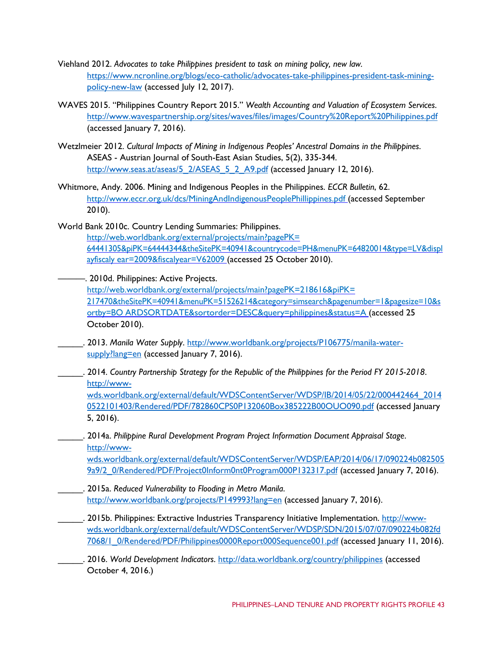- Viehland 2012. *Advocates to take Philippines president to task on mining policy, new law.* [https://www.ncronline.org/blogs/eco-catholic/advocates-take-philippines-president-task-mining](https://www.ncronline.org/blogs/eco-catholic/advocates-take-philippines-president-task-mining-policy-new-law)[policy-new-law](https://www.ncronline.org/blogs/eco-catholic/advocates-take-philippines-president-task-mining-policy-new-law) (accessed July 12, 2017).
- WAVES 2015. "Philippines Country Report 2015." *Wealth Accounting and Valuation of Ecosystem Services*. <http://www.wavespartnership.org/sites/waves/files/images/Country%20Report%20Philippines.pdf> (accessed January 7, 2016).
- Wetzlmeier 2012. *Cultural Impacts of Mining in Indigenous Peoples' Ancestral Domains in the Philippines*. ASEAS - Austrian Journal of South-East Asian Studies, 5(2), 335-344. [http://www.seas.at/aseas/5\\_2/ASEAS\\_5\\_2\\_A9.pdf](http://www.seas.at/aseas/5_2/ASEAS_5_2_A9.pdf) (accessed January 12, 2016).
- Whitmore, Andy. 2006. Mining and Indigenous Peoples in the Philippines. *ECCR Bulletin*, 62. [http://www.eccr.org.uk/dcs/MiningAndIndigenousPeoplePhillippines.pdf \(](http://www.eccr.org.uk/dcs/MiningAndIndigenousPeoplePhillippines.pdf)accessed September 2010).
- World Bank 2010c. Country Lending Summaries: Philippines. [http://web.worldbank.org/external/projects/main?pagePK=](http://web.worldbank.org/external/projects/main?pagePK=64441305&piPK=64444344&theSitePK=40941&countrycode=PH&menuPK=64820014&type=LV&displayfiscalyear=2009&fiscalyear=V62009)  [64441305&piPK=64444344&theSitePK=40941&countrycode=PH&menuPK=64820014&type=LV&displ](http://web.worldbank.org/external/projects/main?pagePK=64441305&piPK=64444344&theSitePK=40941&countrycode=PH&menuPK=64820014&type=LV&displayfiscalyear=2009&fiscalyear=V62009) [ayfiscaly ear=2009&fiscalyear=V62009 \(](http://web.worldbank.org/external/projects/main?pagePK=64441305&piPK=64444344&theSitePK=40941&countrycode=PH&menuPK=64820014&type=LV&displayfiscalyear=2009&fiscalyear=V62009)accessed 25 October 2010).

 $-$ . 2010d. Philippines: Active Projects. [http://web.worldbank.org/external/projects/main?pagePK=218616&piPK=](http://web.worldbank.org/external/projects/main?pagePK=218616&piPK=217470&theSitePK=40941&menuPK=51526214&category=simsearch&pagenumber=1&pagesize=10&sortby=BOARDSORTDATE&sortorder=DESC&query=philippines&status=A)  [217470&theSitePK=40941&menuPK=51526214&category=simsearch&pagenumber=1&pagesize=10&s](http://web.worldbank.org/external/projects/main?pagePK=218616&piPK=217470&theSitePK=40941&menuPK=51526214&category=simsearch&pagenumber=1&pagesize=10&sortby=BOARDSORTDATE&sortorder=DESC&query=philippines&status=A) [ortby=BO ARDSORTDATE&sortorder=DESC&query=philippines&status=A \(](http://web.worldbank.org/external/projects/main?pagePK=218616&piPK=217470&theSitePK=40941&menuPK=51526214&category=simsearch&pagenumber=1&pagesize=10&sortby=BOARDSORTDATE&sortorder=DESC&query=philippines&status=A)accessed 25 October 2010).

- \_\_\_\_\_. 2013. *Manila Water Supply*. [http://www.worldbank.org/projects/P106775/manila-water](http://www.worldbank.org/projects/P106775/manila-water-supply?lang=en)[supply?lang=en](http://www.worldbank.org/projects/P106775/manila-water-supply?lang=en) (accessed January 7, 2016).
- \_\_\_\_\_. 2014. *Country Partnership Strategy for the Republic of the Philippines for the Period FY 2015-2018*. [http://www](http://www-wds.worldbank.org/external/default/WDSContentServer/WDSP/IB/2014/05/22/000442464_20140522101403/Rendered/PDF/782860CPS0P132060Box385222B00OUO090.pdf)[wds.worldbank.org/external/default/WDSContentServer/WDSP/IB/2014/05/22/000442464\\_2014](http://www-wds.worldbank.org/external/default/WDSContentServer/WDSP/IB/2014/05/22/000442464_20140522101403/Rendered/PDF/782860CPS0P132060Box385222B00OUO090.pdf)

[0522101403/Rendered/PDF/782860CPS0P132060Box385222B00OUO090.pdf](http://www-wds.worldbank.org/external/default/WDSContentServer/WDSP/IB/2014/05/22/000442464_20140522101403/Rendered/PDF/782860CPS0P132060Box385222B00OUO090.pdf) (accessed January 5, 2016).

## \_\_\_\_\_. 2014a. *Philippine Rural Development Program Project Information Document Appraisal Stage*. [http://www-](http://www-wds.worldbank.org/external/default/WDSContentServer/WDSP/EAP/2014/06/17/090224b0825059a9/2_0/Rendered/PDF/Project0Inform0nt0Program000P132317.pdf)

[wds.worldbank.org/external/default/WDSContentServer/WDSP/EAP/2014/06/17/090224b082505](http://www-wds.worldbank.org/external/default/WDSContentServer/WDSP/EAP/2014/06/17/090224b0825059a9/2_0/Rendered/PDF/Project0Inform0nt0Program000P132317.pdf) [9a9/2\\_0/Rendered/PDF/Project0Inform0nt0Program000P132317.pdf](http://www-wds.worldbank.org/external/default/WDSContentServer/WDSP/EAP/2014/06/17/090224b0825059a9/2_0/Rendered/PDF/Project0Inform0nt0Program000P132317.pdf) (accessed January 7, 2016).

- \_\_\_\_\_. 2015a. *Reduced Vulnerability to Flooding in Metro Manila*. <http://www.worldbank.org/projects/P149993?lang=en> (accessed January 7, 2016).
- \_\_\_\_\_. 2015b. Philippines: Extractive Industries Transparency Initiative Implementation. [http://www](http://www-wds.worldbank.org/external/default/WDSContentServer/WDSP/SDN/2015/07/07/090224b082fd7068/1_0/Rendered/PDF/Philippines0000Report000Sequence001.pdf)[wds.worldbank.org/external/default/WDSContentServer/WDSP/SDN/2015/07/07/090224b082fd](http://www-wds.worldbank.org/external/default/WDSContentServer/WDSP/SDN/2015/07/07/090224b082fd7068/1_0/Rendered/PDF/Philippines0000Report000Sequence001.pdf) [7068/1\\_0/Rendered/PDF/Philippines0000Report000Sequence001.pdf](http://www-wds.worldbank.org/external/default/WDSContentServer/WDSP/SDN/2015/07/07/090224b082fd7068/1_0/Rendered/PDF/Philippines0000Report000Sequence001.pdf) (accessed January 11, 2016).
- \_\_\_\_\_. 2016. *World Development Indicators*.<http://data.worldbank.org/country/philippines> (accessed October 4, 2016.)